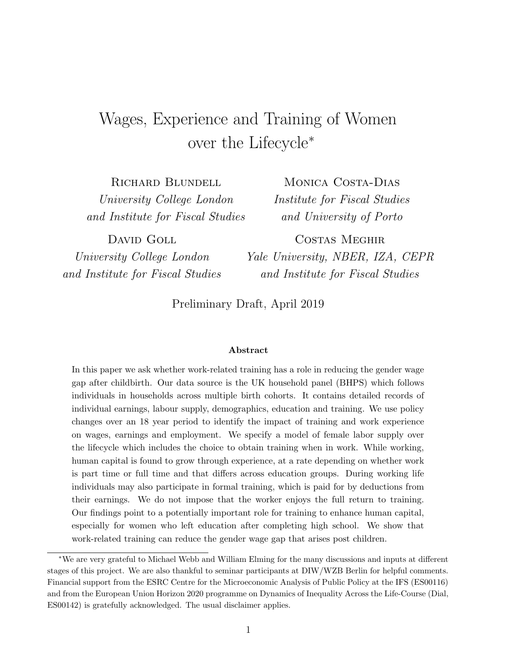# Wages, Experience and Training of Women over the Lifecycle<sup>∗</sup>

Richard Blundell University College London and Institute for Fiscal Studies

MONICA COSTA-DIAS Institute for Fiscal Studies and University of Porto

DAVID GOLL University College London and Institute for Fiscal Studies

Costas Meghir Yale University, NBER, IZA, CEPR and Institute for Fiscal Studies

Preliminary Draft, April 2019

#### Abstract

In this paper we ask whether work-related training has a role in reducing the gender wage gap after childbirth. Our data source is the UK household panel (BHPS) which follows individuals in households across multiple birth cohorts. It contains detailed records of individual earnings, labour supply, demographics, education and training. We use policy changes over an 18 year period to identify the impact of training and work experience on wages, earnings and employment. We specify a model of female labor supply over the lifecycle which includes the choice to obtain training when in work. While working, human capital is found to grow through experience, at a rate depending on whether work is part time or full time and that differs across education groups. During working life individuals may also participate in formal training, which is paid for by deductions from their earnings. We do not impose that the worker enjoys the full return to training. Our findings point to a potentially important role for training to enhance human capital, especially for women who left education after completing high school. We show that work-related training can reduce the gender wage gap that arises post children.

<sup>∗</sup>We are very grateful to Michael Webb and William Elming for the many discussions and inputs at different stages of this project. We are also thankful to seminar participants at DIW/WZB Berlin for helpful comments. Financial support from the ESRC Centre for the Microeconomic Analysis of Public Policy at the IFS (ES00116) and from the European Union Horizon 2020 programme on Dynamics of Inequality Across the Life-Course (Dial, ES00142) is gratefully acknowledged. The usual disclaimer applies.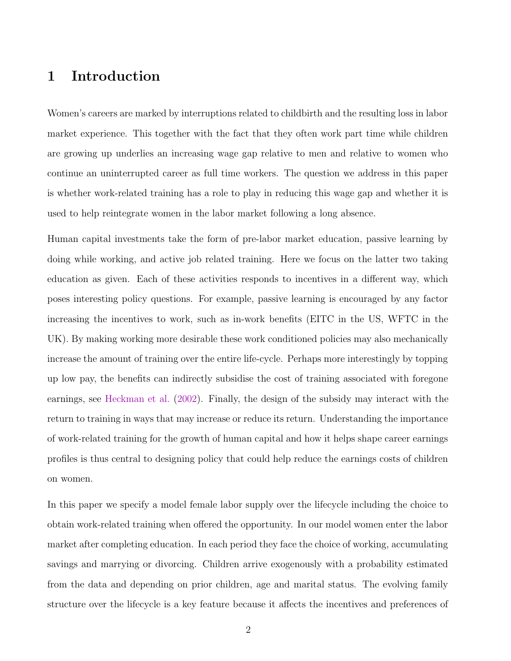### 1 Introduction

Women's careers are marked by interruptions related to childbirth and the resulting loss in labor market experience. This together with the fact that they often work part time while children are growing up underlies an increasing wage gap relative to men and relative to women who continue an uninterrupted career as full time workers. The question we address in this paper is whether work-related training has a role to play in reducing this wage gap and whether it is used to help reintegrate women in the labor market following a long absence.

Human capital investments take the form of pre-labor market education, passive learning by doing while working, and active job related training. Here we focus on the latter two taking education as given. Each of these activities responds to incentives in a different way, which poses interesting policy questions. For example, passive learning is encouraged by any factor increasing the incentives to work, such as in-work benefits (EITC in the US, WFTC in the UK). By making working more desirable these work conditioned policies may also mechanically increase the amount of training over the entire life-cycle. Perhaps more interestingly by topping up low pay, the benefits can indirectly subsidise the cost of training associated with foregone earnings, see [Heckman et al.](#page-52-0) [\(2002\)](#page-52-0). Finally, the design of the subsidy may interact with the return to training in ways that may increase or reduce its return. Understanding the importance of work-related training for the growth of human capital and how it helps shape career earnings profiles is thus central to designing policy that could help reduce the earnings costs of children on women.

In this paper we specify a model female labor supply over the lifecycle including the choice to obtain work-related training when offered the opportunity. In our model women enter the labor market after completing education. In each period they face the choice of working, accumulating savings and marrying or divorcing. Children arrive exogenously with a probability estimated from the data and depending on prior children, age and marital status. The evolving family structure over the lifecycle is a key feature because it affects the incentives and preferences of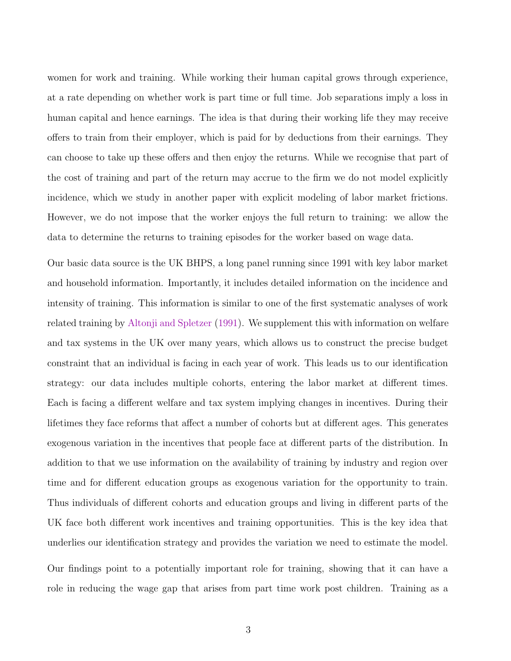women for work and training. While working their human capital grows through experience, at a rate depending on whether work is part time or full time. Job separations imply a loss in human capital and hence earnings. The idea is that during their working life they may receive offers to train from their employer, which is paid for by deductions from their earnings. They can choose to take up these offers and then enjoy the returns. While we recognise that part of the cost of training and part of the return may accrue to the firm we do not model explicitly incidence, which we study in another paper with explicit modeling of labor market frictions. However, we do not impose that the worker enjoys the full return to training: we allow the data to determine the returns to training episodes for the worker based on wage data.

Our basic data source is the UK BHPS, a long panel running since 1991 with key labor market and household information. Importantly, it includes detailed information on the incidence and intensity of training. This information is similar to one of the first systematic analyses of work related training by [Altonji and Spletzer](#page-50-0) ([1991](#page-50-0)). We supplement this with information on welfare and tax systems in the UK over many years, which allows us to construct the precise budget constraint that an individual is facing in each year of work. This leads us to our identification strategy: our data includes multiple cohorts, entering the labor market at different times. Each is facing a different welfare and tax system implying changes in incentives. During their lifetimes they face reforms that affect a number of cohorts but at different ages. This generates exogenous variation in the incentives that people face at different parts of the distribution. In addition to that we use information on the availability of training by industry and region over time and for different education groups as exogenous variation for the opportunity to train. Thus individuals of different cohorts and education groups and living in different parts of the UK face both different work incentives and training opportunities. This is the key idea that underlies our identification strategy and provides the variation we need to estimate the model.

Our findings point to a potentially important role for training, showing that it can have a role in reducing the wage gap that arises from part time work post children. Training as a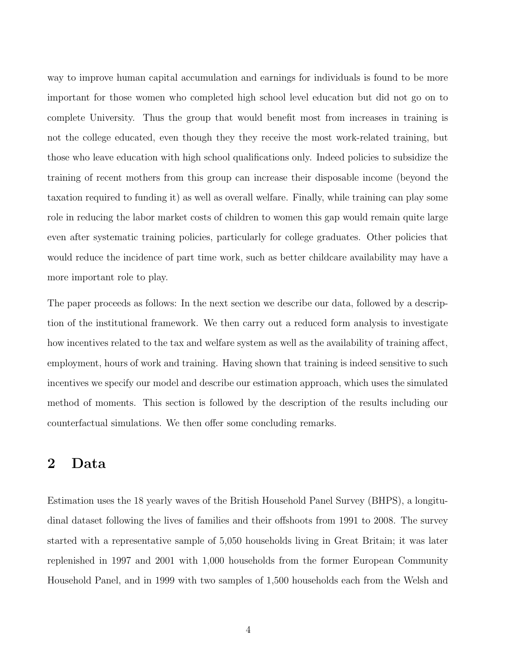way to improve human capital accumulation and earnings for individuals is found to be more important for those women who completed high school level education but did not go on to complete University. Thus the group that would benefit most from increases in training is not the college educated, even though they they receive the most work-related training, but those who leave education with high school qualifications only. Indeed policies to subsidize the training of recent mothers from this group can increase their disposable income (beyond the taxation required to funding it) as well as overall welfare. Finally, while training can play some role in reducing the labor market costs of children to women this gap would remain quite large even after systematic training policies, particularly for college graduates. Other policies that would reduce the incidence of part time work, such as better childcare availability may have a more important role to play.

The paper proceeds as follows: In the next section we describe our data, followed by a description of the institutional framework. We then carry out a reduced form analysis to investigate how incentives related to the tax and welfare system as well as the availability of training affect, employment, hours of work and training. Having shown that training is indeed sensitive to such incentives we specify our model and describe our estimation approach, which uses the simulated method of moments. This section is followed by the description of the results including our counterfactual simulations. We then offer some concluding remarks.

### 2 Data

Estimation uses the 18 yearly waves of the British Household Panel Survey (BHPS), a longitudinal dataset following the lives of families and their offshoots from 1991 to 2008. The survey started with a representative sample of 5,050 households living in Great Britain; it was later replenished in 1997 and 2001 with 1,000 households from the former European Community Household Panel, and in 1999 with two samples of 1,500 households each from the Welsh and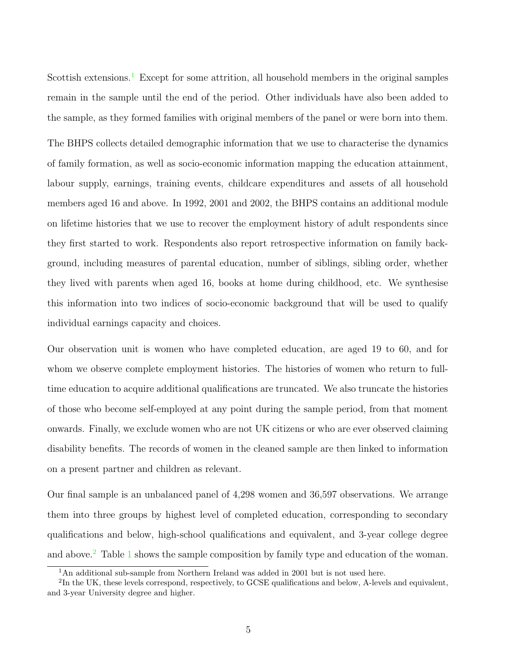Scottish extensions.<sup>1</sup> Except for some attrition, all household members in the original samples remain in the sample until the end of the period. Other individuals have also been added to the sample, as they formed families with original members of the panel or were born into them.

The BHPS collects detailed demographic information that we use to characterise the dynamics of family formation, as well as socio-economic information mapping the education attainment, labour supply, earnings, training events, childcare expenditures and assets of all household members aged 16 and above. In 1992, 2001 and 2002, the BHPS contains an additional module on lifetime histories that we use to recover the employment history of adult respondents since they first started to work. Respondents also report retrospective information on family background, including measures of parental education, number of siblings, sibling order, whether they lived with parents when aged 16, books at home during childhood, etc. We synthesise this information into two indices of socio-economic background that will be used to qualify individual earnings capacity and choices.

Our observation unit is women who have completed education, are aged 19 to 60, and for whom we observe complete employment histories. The histories of women who return to fulltime education to acquire additional qualifications are truncated. We also truncate the histories of those who become self-employed at any point during the sample period, from that moment onwards. Finally, we exclude women who are not UK citizens or who are ever observed claiming disability benefits. The records of women in the cleaned sample are then linked to information on a present partner and children as relevant.

Our final sample is an unbalanced panel of 4,298 women and 36,597 observations. We arrange them into three groups by highest level of completed education, corresponding to secondary qualifications and below, high-school qualifications and equivalent, and 3-year college degree and above.<sup>2</sup> Table [1](#page-5-0) shows the sample composition by family type and education of the woman.

<sup>&</sup>lt;sup>1</sup>An additional sub-sample from Northern Ireland was added in 2001 but is not used here.

<sup>&</sup>lt;sup>2</sup>In the UK, these levels correspond, respectively, to GCSE qualifications and below, A-levels and equivalent, and 3-year University degree and higher.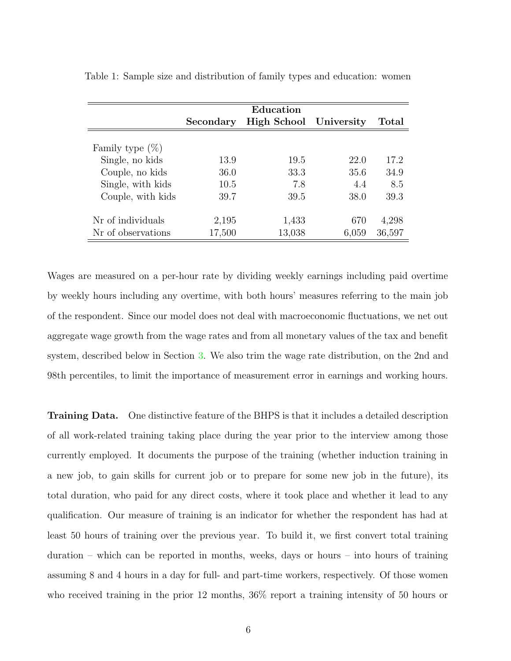|                    |           | Education              |       |        |
|--------------------|-----------|------------------------|-------|--------|
|                    | Secondary | High School University |       | Total  |
|                    |           |                        |       |        |
| Family type $(\%)$ |           |                        |       |        |
| Single, no kids    | 13.9      | 19.5                   | 22.0  | 17.2   |
| Couple, no kids    | 36.0      | 33.3                   | 35.6  | 34.9   |
| Single, with kids  | 10.5      | 7.8                    | 4.4   | 8.5    |
| Couple, with kids  | 39.7      | 39.5                   | 38.0  | 39.3   |
|                    |           |                        |       |        |
| Nr of individuals  | 2,195     | 1,433                  | 670   | 4,298  |
| Nr of observations | 17,500    | 13,038                 | 6,059 | 36,597 |

<span id="page-5-0"></span>Table 1: Sample size and distribution of family types and education: women

Wages are measured on a per-hour rate by dividing weekly earnings including paid overtime by weekly hours including any overtime, with both hours' measures referring to the main job of the respondent. Since our model does not deal with macroeconomic fluctuations, we net out aggregate wage growth from the wage rates and from all monetary values of the tax and benefit system, described below in Section [3.](#page-6-0) We also trim the wage rate distribution, on the 2nd and 98th percentiles, to limit the importance of measurement error in earnings and working hours.

Training Data. One distinctive feature of the BHPS is that it includes a detailed description of all work-related training taking place during the year prior to the interview among those currently employed. It documents the purpose of the training (whether induction training in a new job, to gain skills for current job or to prepare for some new job in the future), its total duration, who paid for any direct costs, where it took place and whether it lead to any qualification. Our measure of training is an indicator for whether the respondent has had at least 50 hours of training over the previous year. To build it, we first convert total training duration – which can be reported in months, weeks, days or hours – into hours of training assuming 8 and 4 hours in a day for full- and part-time workers, respectively. Of those women who received training in the prior 12 months, 36% report a training intensity of 50 hours or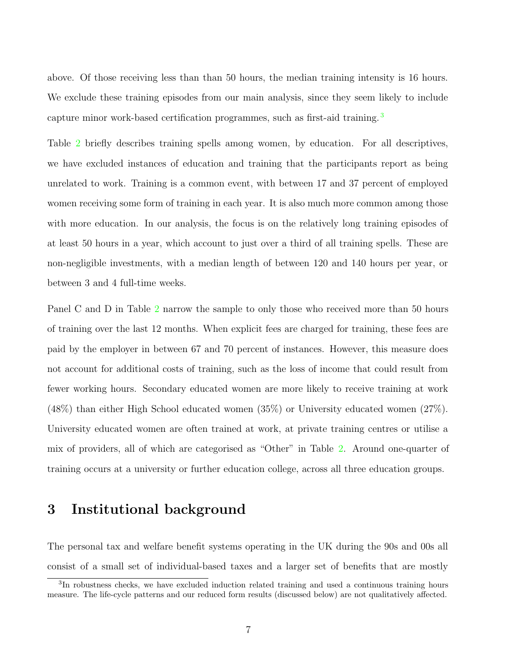<span id="page-6-0"></span>above. Of those receiving less than than 50 hours, the median training intensity is 16 hours. We exclude these training episodes from our main analysis, since they seem likely to include capture minor work-based certification programmes, such as first-aid training. <sup>3</sup>

Table [2](#page-7-0) briefly describes training spells among women, by education. For all descriptives, we have excluded instances of education and training that the participants report as being unrelated to work. Training is a common event, with between 17 and 37 percent of employed women receiving some form of training in each year. It is also much more common among those with more education. In our analysis, the focus is on the relatively long training episodes of at least 50 hours in a year, which account to just over a third of all training spells. These are non-negligible investments, with a median length of between 120 and 140 hours per year, or between 3 and 4 full-time weeks.

Panel C and D in Table [2](#page-7-0) narrow the sample to only those who received more than 50 hours of training over the last 12 months. When explicit fees are charged for training, these fees are paid by the employer in between 67 and 70 percent of instances. However, this measure does not account for additional costs of training, such as the loss of income that could result from fewer working hours. Secondary educated women are more likely to receive training at work (48%) than either High School educated women (35%) or University educated women (27%). University educated women are often trained at work, at private training centres or utilise a mix of providers, all of which are categorised as "Other" in Table [2](#page-7-0). Around one-quarter of training occurs at a university or further education college, across all three education groups.

### 3 Institutional background

The personal tax and welfare benefit systems operating in the UK during the 90s and 00s all consist of a small set of individual-based taxes and a larger set of benefits that are mostly

<sup>3</sup>In robustness checks, we have excluded induction related training and used a continuous training hours measure. The life-cycle patterns and our reduced form results (discussed below) are not qualitatively affected.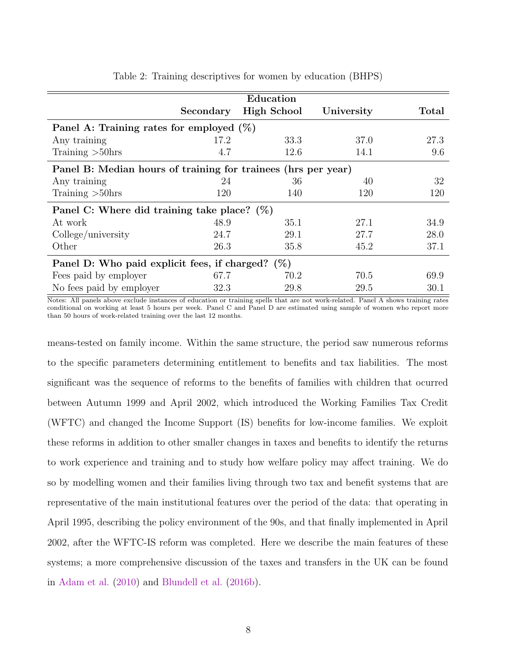<span id="page-7-0"></span>

|                                                               |           | Education          |            |       |  |  |  |  |  |
|---------------------------------------------------------------|-----------|--------------------|------------|-------|--|--|--|--|--|
|                                                               | Secondary | <b>High School</b> | University | Total |  |  |  |  |  |
| Panel A: Training rates for employed $(\%)$                   |           |                    |            |       |  |  |  |  |  |
| Any training                                                  | 17.2      | 33.3               | 37.0       | 27.3  |  |  |  |  |  |
| Training $>50$ hrs                                            | 4.7       | 12.6               | 14.1       | 9.6   |  |  |  |  |  |
| Panel B: Median hours of training for trainees (hrs per year) |           |                    |            |       |  |  |  |  |  |
| Any training                                                  | 24        | 36                 | 40         | 32    |  |  |  |  |  |
| Training $>50$ hrs                                            | 120       | 140                | 120        | 120   |  |  |  |  |  |
| Panel C: Where did training take place? $(\%)$                |           |                    |            |       |  |  |  |  |  |
| At work                                                       | 48.9      | 35.1               | 27.1       | 34.9  |  |  |  |  |  |
| College/university                                            | 24.7      | 29.1               | 27.7       | 28.0  |  |  |  |  |  |
| Other                                                         | 26.3      | 35.8               | 45.2       | 37.1  |  |  |  |  |  |
| Panel D: Who paid explicit fees, if charged? $(\%)$           |           |                    |            |       |  |  |  |  |  |
| Fees paid by employer                                         | 67.7      | 70.2               | 70.5       | 69.9  |  |  |  |  |  |
| No fees paid by employer                                      | 32.3      | 29.8               | 29.5       | 30.1  |  |  |  |  |  |

Table 2: Training descriptives for women by education (BHPS)

Notes: All panels above exclude instances of education or training spells that are not work-related. Panel A shows training rates conditional on working at least 5 hours per week. Panel C and Panel D are estimated using sample of women who report more than 50 hours of work-related training over the last 12 months.

means-tested on family income. Within the same structure, the period saw numerous reforms to the specific parameters determining entitlement to benefits and tax liabilities. The most significant was the sequence of reforms to the benefits of families with children that ocurred between Autumn 1999 and April 2002, which introduced the Working Families Tax Credit (WFTC) and changed the Income Support (IS) benefits for low-income families. We exploit these reforms in addition to other smaller changes in taxes and benefits to identify the returns to work experience and training and to study how welfare policy may affect training. We do so by modelling women and their families living through two tax and benefit systems that are representative of the main institutional features over the period of the data: that operating in April 1995, describing the policy environment of the 90s, and that finally implemented in April 2002, after the WFTC-IS reform was completed. Here we describe the main features of these systems; a more comprehensive discussion of the taxes and transfers in the UK can be found in [Adam et al.](#page-50-0) ([2010](#page-50-0)) and [Blundell et al.](#page-51-0) [\(2016b](#page-51-0)).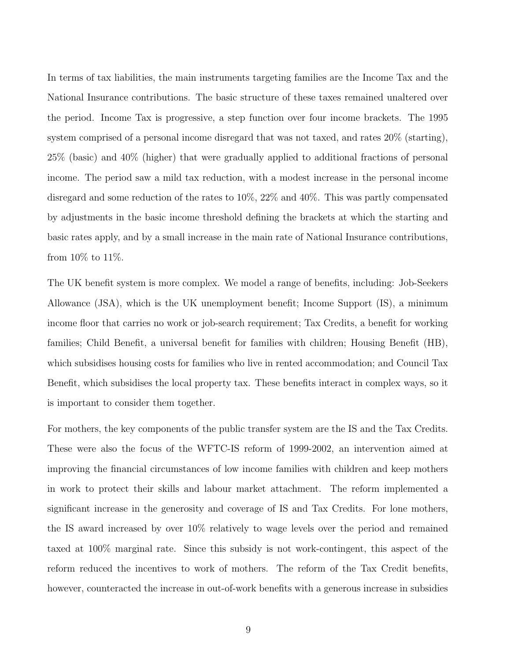In terms of tax liabilities, the main instruments targeting families are the Income Tax and the National Insurance contributions. The basic structure of these taxes remained unaltered over the period. Income Tax is progressive, a step function over four income brackets. The 1995 system comprised of a personal income disregard that was not taxed, and rates 20% (starting), 25% (basic) and 40% (higher) that were gradually applied to additional fractions of personal income. The period saw a mild tax reduction, with a modest increase in the personal income disregard and some reduction of the rates to 10%, 22% and 40%. This was partly compensated by adjustments in the basic income threshold defining the brackets at which the starting and basic rates apply, and by a small increase in the main rate of National Insurance contributions, from 10% to 11%.

The UK benefit system is more complex. We model a range of benefits, including: Job-Seekers Allowance (JSA), which is the UK unemployment benefit; Income Support (IS), a minimum income floor that carries no work or job-search requirement; Tax Credits, a benefit for working families; Child Benefit, a universal benefit for families with children; Housing Benefit (HB), which subsidises housing costs for families who live in rented accommodation; and Council Tax Benefit, which subsidises the local property tax. These benefits interact in complex ways, so it is important to consider them together.

For mothers, the key components of the public transfer system are the IS and the Tax Credits. These were also the focus of the WFTC-IS reform of 1999-2002, an intervention aimed at improving the financial circumstances of low income families with children and keep mothers in work to protect their skills and labour market attachment. The reform implemented a significant increase in the generosity and coverage of IS and Tax Credits. For lone mothers, the IS award increased by over 10% relatively to wage levels over the period and remained taxed at 100% marginal rate. Since this subsidy is not work-contingent, this aspect of the reform reduced the incentives to work of mothers. The reform of the Tax Credit benefits, however, counteracted the increase in out-of-work benefits with a generous increase in subsidies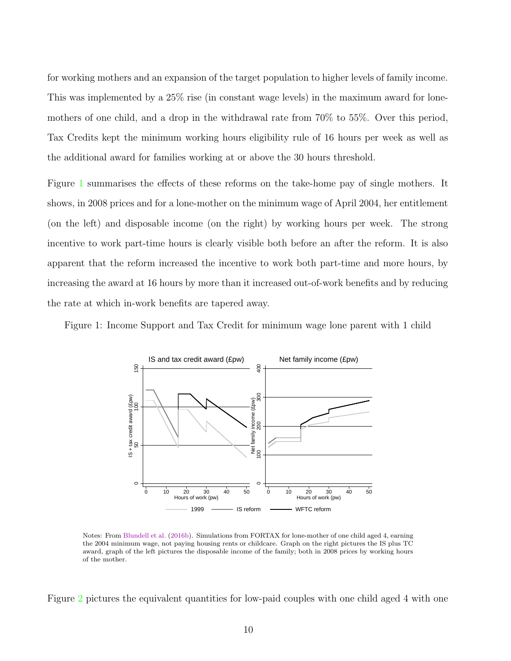for working mothers and an expansion of the target population to higher levels of family income. This was implemented by a 25% rise (in constant wage levels) in the maximum award for lonemothers of one child, and a drop in the withdrawal rate from 70% to 55%. Over this period, Tax Credits kept the minimum working hours eligibility rule of 16 hours per week as well as the additional award for families working at or above the 30 hours threshold.

Figure 1 summarises the effects of these reforms on the take-home pay of single mothers. It shows, in 2008 prices and for a lone-mother on the minimum wage of April 2004, her entitlement (on the left) and disposable income (on the right) by working hours per week. The strong incentive to work part-time hours is clearly visible both before an after the reform. It is also apparent that the reform increased the incentive to work both part-time and more hours, by increasing the award at 16 hours by more than it increased out-of-work benefits and by reducing the rate at which in-work benefits are tapered away.

Figure 1: Income Support and Tax Credit for minimum wage lone parent with 1 child



Notes: From [Blundell et al.](#page-51-0) ([2016b](#page-51-0)). Simulations from FORTAX for lone-mother of one child aged 4, earning the 2004 minimum wage, not paying housing rents or childcare. Graph on the right pictures the IS plus TC award, graph of the left pictures the disposable income of the family; both in 2008 prices by working hours of the mother.

Figure [2](#page-10-0) pictures the equivalent quantities for low-paid couples with one child aged 4 with one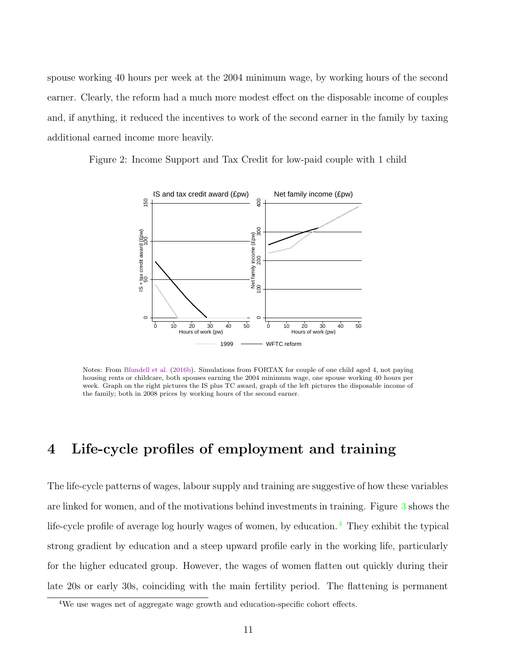<span id="page-10-0"></span>spouse working 40 hours per week at the 2004 minimum wage, by working hours of the second earner. Clearly, the reform had a much more modest effect on the disposable income of couples and, if anything, it reduced the incentives to work of the second earner in the family by taxing additional earned income more heavily.



Figure 2: Income Support and Tax Credit for low-paid couple with 1 child

Notes: From [Blundell et al.](#page-51-0) [\(2016b\)](#page-51-0). Simulations from FORTAX for couple of one child aged 4, not paying housing rents or childcare, both spouses earning the 2004 minimum wage, one spouse working 40 hours per week. Graph on the right pictures the IS plus TC award, graph of the left pictures the disposable income of the family; both in 2008 prices by working hours of the second earner.

## 4 Life-cycle profiles of employment and training

The life-cycle patterns of wages, labour supply and training are suggestive of how these variables are linked for women, and of the motivations behind investments in training. Figure [3](#page-11-0) shows the life-cycle profile of average log hourly wages of women, by education.<sup>4</sup> They exhibit the typical strong gradient by education and a steep upward profile early in the working life, particularly for the higher educated group. However, the wages of women flatten out quickly during their late 20s or early 30s, coinciding with the main fertility period. The flattening is permanent

<sup>&</sup>lt;sup>4</sup>We use wages net of aggregate wage growth and education-specific cohort effects.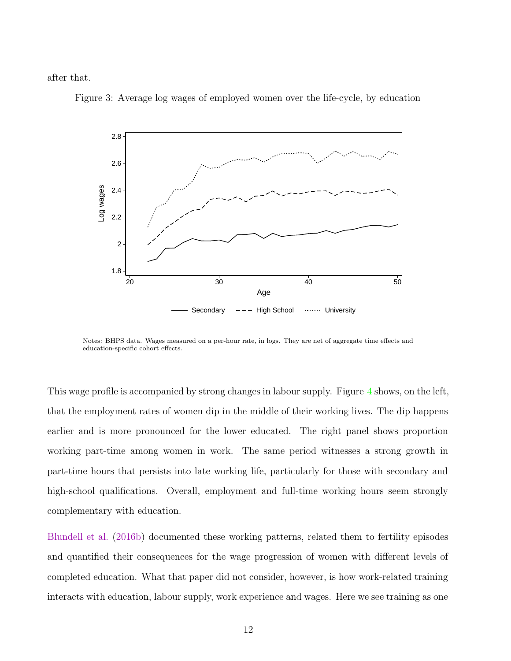<span id="page-11-0"></span>after that.



Figure 3: Average log wages of employed women over the life-cycle, by education

Notes: BHPS data. Wages measured on a per-hour rate, in logs. They are net of aggregate time effects and education-specific cohort effects.

This wage profile is accompanied by strong changes in labour supply. Figure [4](#page-12-0) shows, on the left, that the employment rates of women dip in the middle of their working lives. The dip happens earlier and is more pronounced for the lower educated. The right panel shows proportion working part-time among women in work. The same period witnesses a strong growth in part-time hours that persists into late working life, particularly for those with secondary and high-school qualifications. Overall, employment and full-time working hours seem strongly complementary with education.

[Blundell et al.](#page-51-0) [\(2016b](#page-51-0)) documented these working patterns, related them to fertility episodes and quantified their consequences for the wage progression of women with different levels of completed education. What that paper did not consider, however, is how work-related training interacts with education, labour supply, work experience and wages. Here we see training as one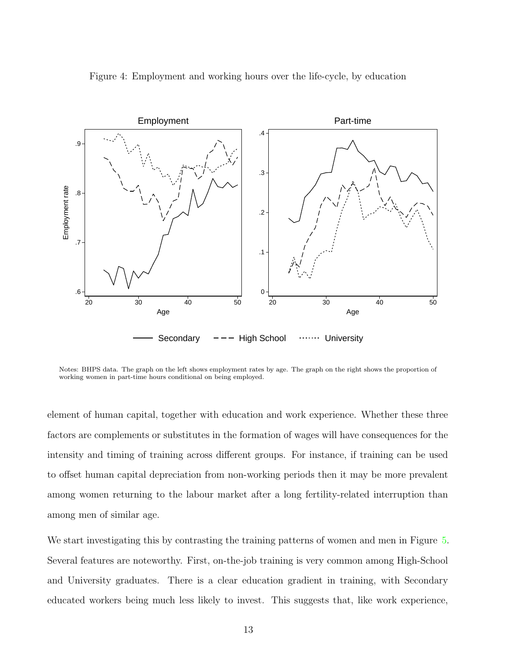<span id="page-12-0"></span>

Figure 4: Employment and working hours over the life-cycle, by education

Notes: BHPS data. The graph on the left shows employment rates by age. The graph on the right shows the proportion of working women in part-time hours conditional on being employed.

element of human capital, together with education and work experience. Whether these three factors are complements or substitutes in the formation of wages will have consequences for the intensity and timing of training across different groups. For instance, if training can be used to offset human capital depreciation from non-working periods then it may be more prevalent among women returning to the labour market after a long fertility-related interruption than among men of similar age.

We start investigating this by contrasting the training patterns of women and men in Figure [5](#page-13-0). Several features are noteworthy. First, on-the-job training is very common among High-School and University graduates. There is a clear education gradient in training, with Secondary educated workers being much less likely to invest. This suggests that, like work experience,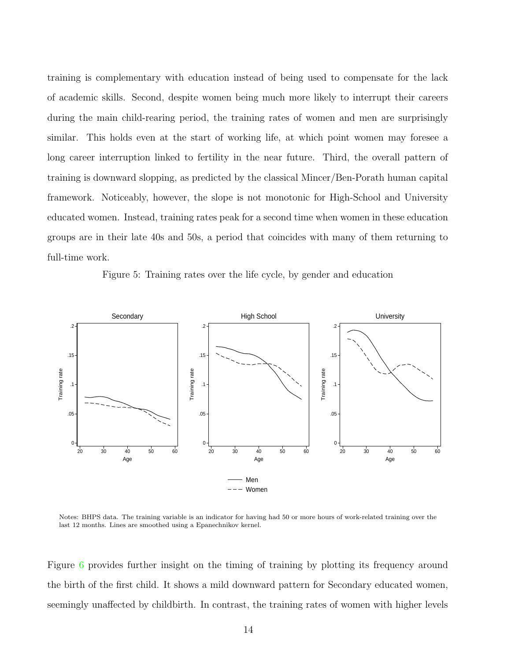<span id="page-13-0"></span>training is complementary with education instead of being used to compensate for the lack of academic skills. Second, despite women being much more likely to interrupt their careers during the main child-rearing period, the training rates of women and men are surprisingly similar. This holds even at the start of working life, at which point women may foresee a long career interruption linked to fertility in the near future. Third, the overall pattern of training is downward slopping, as predicted by the classical Mincer/Ben-Porath human capital framework. Noticeably, however, the slope is not monotonic for High-School and University educated women. Instead, training rates peak for a second time when women in these education groups are in their late 40s and 50s, a period that coincides with many of them returning to full-time work.

Figure 5: Training rates over the life cycle, by gender and education



Notes: BHPS data. The training variable is an indicator for having had 50 or more hours of work-related training over the last 12 months. Lines are smoothed using a Epanechnikov kernel.

Figure [6](#page-14-0) provides further insight on the timing of training by plotting its frequency around the birth of the first child. It shows a mild downward pattern for Secondary educated women, seemingly unaffected by childbirth. In contrast, the training rates of women with higher levels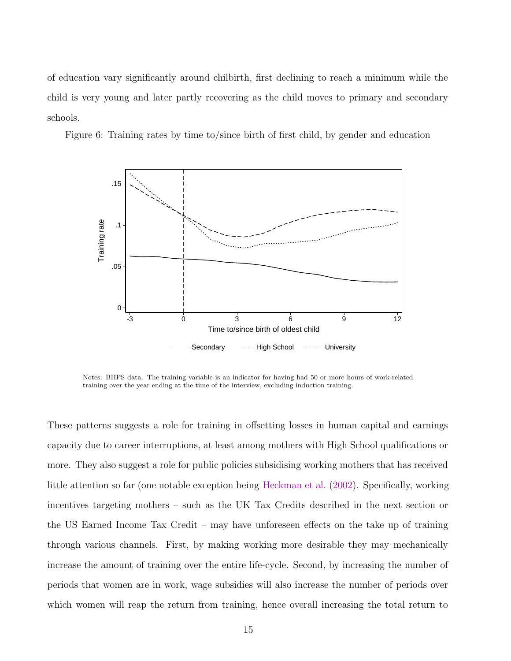<span id="page-14-0"></span>of education vary significantly around chilbirth, first declining to reach a minimum while the child is very young and later partly recovering as the child moves to primary and secondary schools.

Figure 6: Training rates by time to/since birth of first child, by gender and education



Notes: BHPS data. The training variable is an indicator for having had 50 or more hours of work-related training over the year ending at the time of the interview, excluding induction training.

These patterns suggests a role for training in offsetting losses in human capital and earnings capacity due to career interruptions, at least among mothers with High School qualifications or more. They also suggest a role for public policies subsidising working mothers that has received little attention so far (one notable exception being [Heckman et al.](#page-52-0) ([2002](#page-52-0)). Specifically, working incentives targeting mothers – such as the UK Tax Credits described in the next section or the US Earned Income Tax Credit – may have unforeseen effects on the take up of training through various channels. First, by making working more desirable they may mechanically increase the amount of training over the entire life-cycle. Second, by increasing the number of periods that women are in work, wage subsidies will also increase the number of periods over which women will reap the return from training, hence overall increasing the total return to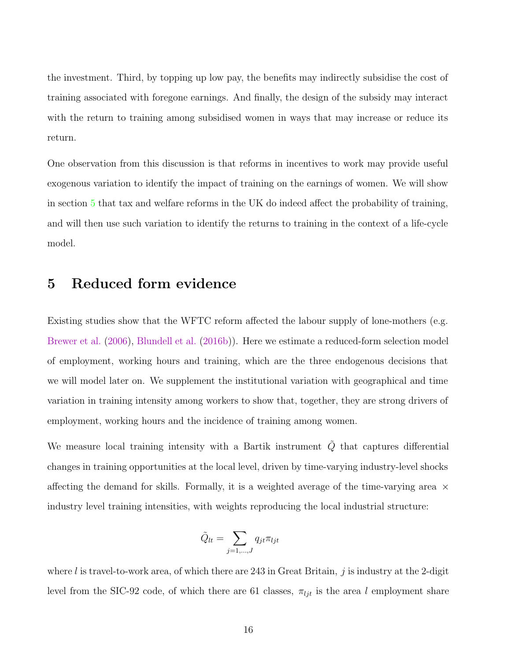the investment. Third, by topping up low pay, the benefits may indirectly subsidise the cost of training associated with foregone earnings. And finally, the design of the subsidy may interact with the return to training among subsidised women in ways that may increase or reduce its return.

One observation from this discussion is that reforms in incentives to work may provide useful exogenous variation to identify the impact of training on the earnings of women. We will show in section 5 that tax and welfare reforms in the UK do indeed affect the probability of training, and will then use such variation to identify the returns to training in the context of a life-cycle model.

### 5 Reduced form evidence

Existing studies show that the WFTC reform affected the labour supply of lone-mothers (e.g. [Brewer et al.](#page-51-0) [\(2006\)](#page-51-0), [Blundell et al.](#page-51-0) [\(2016b](#page-51-0))). Here we estimate a reduced-form selection model of employment, working hours and training, which are the three endogenous decisions that we will model later on. We supplement the institutional variation with geographical and time variation in training intensity among workers to show that, together, they are strong drivers of employment, working hours and the incidence of training among women.

We measure local training intensity with a Bartik instrument  $\tilde{Q}$  that captures differential changes in training opportunities at the local level, driven by time-varying industry-level shocks affecting the demand for skills. Formally, it is a weighted average of the time-varying area  $\times$ industry level training intensities, with weights reproducing the local industrial structure:

$$
\tilde{Q}_{lt} = \sum_{j=1,\dots,J} q_{jt} \pi_{ljt}
$$

where l is travel-to-work area, of which there are 243 in Great Britain, j is industry at the 2-digit level from the SIC-92 code, of which there are 61 classes,  $\pi_{ljt}$  is the area l employment share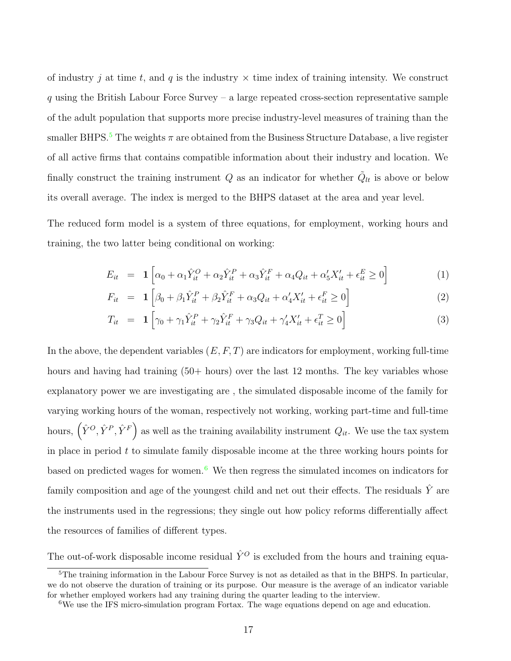<span id="page-16-0"></span>of industry j at time t, and q is the industry  $\times$  time index of training intensity. We construct  $q$  using the British Labour Force Survey – a large repeated cross-section representative sample of the adult population that supports more precise industry-level measures of training than the smaller BHPS.<sup>5</sup> The weights  $\pi$  are obtained from the Business Structure Database, a live register of all active firms that contains compatible information about their industry and location. We finally construct the training instrument Q as an indicator for whether  $\tilde{Q}_{lt}$  is above or below its overall average. The index is merged to the BHPS dataset at the area and year level.

The reduced form model is a system of three equations, for employment, working hours and training, the two latter being conditional on working:

$$
E_{it} = \mathbf{1} \left[ \alpha_0 + \alpha_1 \hat{Y}_{it}^O + \alpha_2 \hat{Y}_{it}^P + \alpha_3 \hat{Y}_{it}^F + \alpha_4 Q_{it} + \alpha_5' X_{it}' + \epsilon_{it}^E \ge 0 \right]
$$
(1)

$$
F_{it} = \mathbf{1} \left[ \beta_0 + \beta_1 \hat{Y}_{it}^P + \beta_2 \hat{Y}_{it}^F + \alpha_3 Q_{it} + \alpha_4' X_{it}' + \epsilon_{it}^F \ge 0 \right]
$$
 (2)

$$
T_{it} = \mathbf{1} \left[ \gamma_0 + \gamma_1 \hat{Y}_{it}^P + \gamma_2 \hat{Y}_{it}^F + \gamma_3 Q_{it} + \gamma_4' X_{it}' + \epsilon_{it}^T \ge 0 \right]
$$
\n
$$
\tag{3}
$$

In the above, the dependent variables  $(E, F, T)$  are indicators for employment, working full-time hours and having had training (50+ hours) over the last 12 months. The key variables whose explanatory power we are investigating are , the simulated disposable income of the family for varying working hours of the woman, respectively not working, working part-time and full-time hours,  $(\hat{Y}^O, \hat{Y}^P, \hat{Y}^F)$  as well as the training availability instrument  $Q_{it}$ . We use the tax system in place in period  $t$  to simulate family disposable income at the three working hours points for based on predicted wages for women.<sup>6</sup> We then regress the simulated incomes on indicators for family composition and age of the youngest child and net out their effects. The residuals  $\hat{Y}$  are the instruments used in the regressions; they single out how policy reforms differentially affect the resources of families of different types.

The out-of-work disposable income residual  $\hat{Y}^O$  is excluded from the hours and training equa-

<sup>&</sup>lt;sup>5</sup>The training information in the Labour Force Survey is not as detailed as that in the BHPS. In particular, we do not observe the duration of training or its purpose. Our measure is the average of an indicator variable for whether employed workers had any training during the quarter leading to the interview.

<sup>6</sup>We use the IFS micro-simulation program Fortax. The wage equations depend on age and education.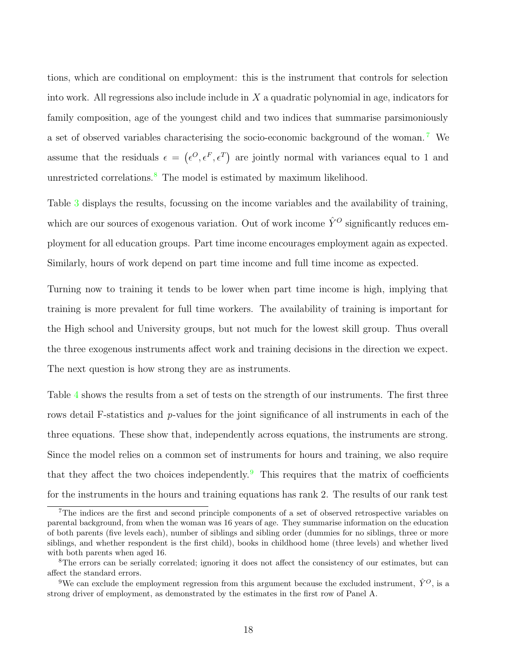tions, which are conditional on employment: this is the instrument that controls for selection into work. All regressions also include include in  $X$  a quadratic polynomial in age, indicators for family composition, age of the youngest child and two indices that summarise parsimoniously a set of observed variables characterising the socio-economic background of the woman. <sup>7</sup> We assume that the residuals  $\epsilon = (\epsilon^O, \epsilon^F, \epsilon^T)$  are jointly normal with variances equal to 1 and unrestricted correlations.<sup>8</sup> The model is estimated by maximum likelihood.

Table [3](#page-18-0) displays the results, focussing on the income variables and the availability of training, which are our sources of exogenous variation. Out of work income  $\hat{Y}^O$  significantly reduces employment for all education groups. Part time income encourages employment again as expected. Similarly, hours of work depend on part time income and full time income as expected.

Turning now to training it tends to be lower when part time income is high, implying that training is more prevalent for full time workers. The availability of training is important for the High school and University groups, but not much for the lowest skill group. Thus overall the three exogenous instruments affect work and training decisions in the direction we expect. The next question is how strong they are as instruments.

Table [4](#page-18-0) shows the results from a set of tests on the strength of our instruments. The first three rows detail F-statistics and p-values for the joint significance of all instruments in each of the three equations. These show that, independently across equations, the instruments are strong. Since the model relies on a common set of instruments for hours and training, we also require that they affect the two choices independently.<sup>9</sup> This requires that the matrix of coefficients for the instruments in the hours and training equations has rank 2. The results of our rank test

<sup>&</sup>lt;sup>7</sup>The indices are the first and second principle components of a set of observed retrospective variables on parental background, from when the woman was 16 years of age. They summarise information on the education of both parents (five levels each), number of siblings and sibling order (dummies for no siblings, three or more siblings, and whether respondent is the first child), books in childhood home (three levels) and whether lived with both parents when aged 16.

<sup>8</sup>The errors can be serially correlated; ignoring it does not affect the consistency of our estimates, but can affect the standard errors.

<sup>&</sup>lt;sup>9</sup>We can exclude the employment regression from this argument because the excluded instrument,  $\hat{Y}^O$ , is a strong driver of employment, as demonstrated by the estimates in the first row of Panel A.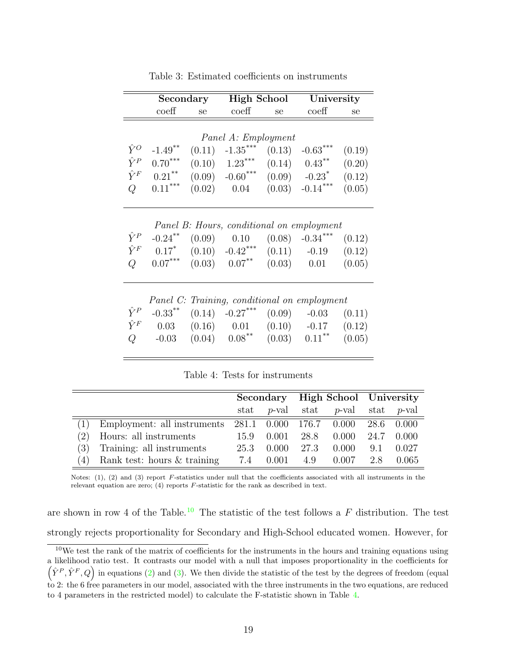<span id="page-18-0"></span>

|             | Secondary             |        | <b>High School</b>                              |        | University                    |        |
|-------------|-----------------------|--------|-------------------------------------------------|--------|-------------------------------|--------|
|             | $\mathrm{coeff}$      | se     | coeff                                           | se     | coeff                         | se     |
|             |                       |        |                                                 |        |                               |        |
|             |                       |        | Panel A: Employment                             |        |                               |        |
| $\hat{Y}^O$ | $-1.49$ **            | (0.11) | $-1.35***$                                      | (0.13) | $-0.63***$                    | (0.19) |
| $\hat{Y}^P$ | $0.70***$             |        | $(0.10)$ 1.23 <sup>***</sup>                    |        | $(0.14)$ $0.43$ <sup>**</sup> | (0.20) |
| $\hat{Y}^F$ | $0.21***$             |        | $(0.09)$ $-0.60$ <sup>***</sup>                 |        | $(0.09)$ $-0.23$ <sup>*</sup> | (0.12) |
| Q           | $0.11***$             |        | $(0.02)$ $0.04$ $(0.03)$ $-0.14***$             |        |                               | (0.05) |
|             |                       |        |                                                 |        |                               |        |
|             |                       |        |                                                 |        |                               |        |
|             |                       |        | Panel B: Hours, conditional on employment       |        |                               |        |
| $\hat{Y}^P$ | $-0.24***$            |        | $(0.09)$ $0.10$ $(0.08)$ $-0.34$ <sup>***</sup> |        |                               | (0.12) |
| $\hat{Y}^F$ | $0.17*$               |        | $(0.10)$ $-0.42$ <sup>***</sup>                 |        | $(0.11)$ $-0.19$              | (0.12) |
| Q           | $0.07***$             |        | $(0.03)$ $0.07$ <sup>**</sup>                   |        | $(0.03)$ 0.01                 | (0.05) |
|             |                       |        |                                                 |        |                               |        |
|             |                       |        |                                                 |        |                               |        |
|             |                       |        | Panel C: Training, conditional on employment    |        |                               |        |
| $\hat{Y}^P$ | $-0.33$ <sup>**</sup> |        | $(0.14)$ $-0.27***$                             |        | $(0.09)$ $-0.03$              | (0.11) |
| $\hat{Y}^F$ | 0.03                  |        | $(0.16)$ $0.01$ $(0.10)$ $-0.17$                |        |                               | (0.12) |
| Q           | $-0.03$               |        | $(0.04)$ $0.08$ <sup>**</sup>                   | (0.03) | $0.11***$                     | (0.05) |

Table 3: Estimated coefficients on instruments

Table 4: Tests for instruments

|     |                             |                       |       | Secondary High School University |          |      |               |
|-----|-----------------------------|-----------------------|-------|----------------------------------|----------|------|---------------|
|     |                             | $\operatorname{stat}$ |       | $p$ -val stat                    | $p$ -val |      | stat $p$ -val |
|     | Employment: all instruments |                       |       | 281.1 0.000 176.7 0.000          |          |      | 28.6 0.000    |
| (2) | Hours: all instruments      | 15.9                  | 0.001 | 28.8                             | 0.000    | 24.7 | 0.000         |
| (3) | Training: all instruments   | 25.3                  | 0.000 | 27.3                             | 0.000    | 9.1  | 0.027         |
| (4) | Rank test: hours & training | 7.4                   | 0.001 | 4.9                              | 0.007    | 2.8  | 0.065         |

Notes:  $(1)$ ,  $(2)$  and  $(3)$  report F-statistics under null that the coefficients associated with all instruments in the relevant equation are zero; (4) reports F-statistic for the rank as described in text.

are shown in row 4 of the Table.<sup>10</sup> The statistic of the test follows a F distribution. The test strongly rejects proportionality for Secondary and High-School educated women. However, for

 $10$ We test the rank of the matrix of coefficients for the instruments in the hours and training equations using a likelihood ratio test. It contrasts our model with a null that imposes proportionality in the coefficients for  $(\hat{Y}^P, \hat{Y}^F, Q)$  in equations ([2](#page-16-0)) and ([3\)](#page-16-0). We then divide the statistic of the test by the degrees of freedom (equal to 2: the 6 free parameters in our model, associated with the three instruments in the two equations, are reduced to 4 parameters in the restricted model) to calculate the F-statistic shown in Table 4.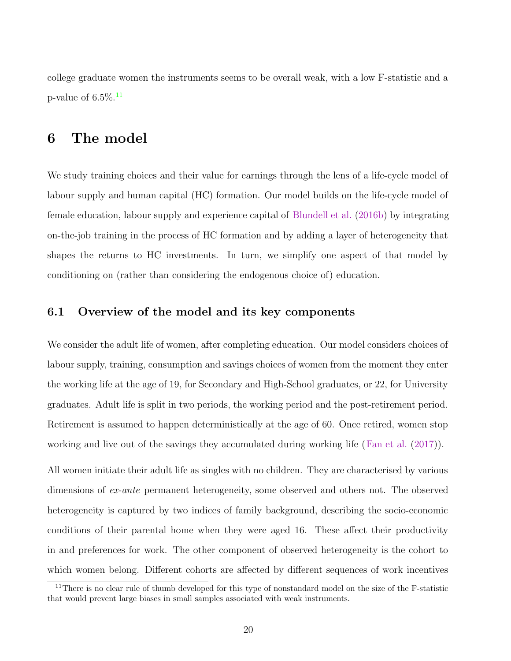college graduate women the instruments seems to be overall weak, with a low F-statistic and a p-value of  $6.5\%$ <sup>11</sup>

### 6 The model

We study training choices and their value for earnings through the lens of a life-cycle model of labour supply and human capital (HC) formation. Our model builds on the life-cycle model of female education, labour supply and experience capital of [Blundell et al.](#page-51-0) ([2016b\)](#page-51-0) by integrating on-the-job training in the process of HC formation and by adding a layer of heterogeneity that shapes the returns to HC investments. In turn, we simplify one aspect of that model by conditioning on (rather than considering the endogenous choice of) education.

#### 6.1 Overview of the model and its key components

We consider the adult life of women, after completing education. Our model considers choices of labour supply, training, consumption and savings choices of women from the moment they enter the working life at the age of 19, for Secondary and High-School graduates, or 22, for University graduates. Adult life is split in two periods, the working period and the post-retirement period. Retirement is assumed to happen deterministically at the age of 60. Once retired, women stop working and live out of the savings they accumulated during working life ([Fan et al.](#page-51-0) ([2017](#page-51-0))).

All women initiate their adult life as singles with no children. They are characterised by various dimensions of ex-ante permanent heterogeneity, some observed and others not. The observed heterogeneity is captured by two indices of family background, describing the socio-economic conditions of their parental home when they were aged 16. These affect their productivity in and preferences for work. The other component of observed heterogeneity is the cohort to which women belong. Different cohorts are affected by different sequences of work incentives

<sup>&</sup>lt;sup>11</sup>There is no clear rule of thumb developed for this type of nonstandard model on the size of the F-statistic that would prevent large biases in small samples associated with weak instruments.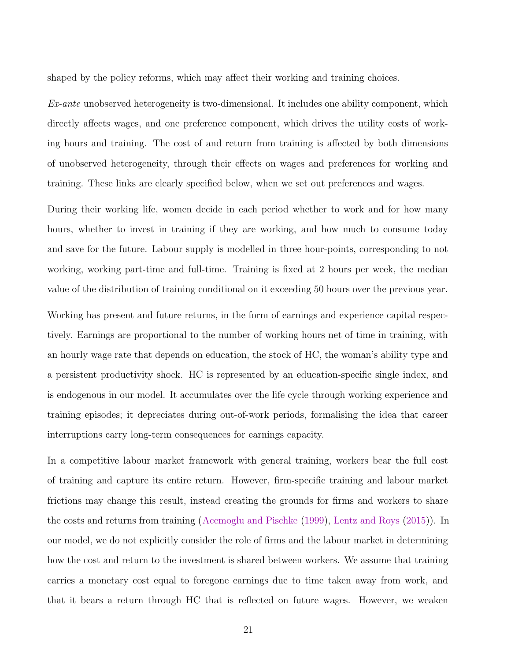shaped by the policy reforms, which may affect their working and training choices.

 $Ex$ -ante unobserved heterogeneity is two-dimensional. It includes one ability component, which directly affects wages, and one preference component, which drives the utility costs of working hours and training. The cost of and return from training is affected by both dimensions of unobserved heterogeneity, through their effects on wages and preferences for working and training. These links are clearly specified below, when we set out preferences and wages.

During their working life, women decide in each period whether to work and for how many hours, whether to invest in training if they are working, and how much to consume today and save for the future. Labour supply is modelled in three hour-points, corresponding to not working, working part-time and full-time. Training is fixed at 2 hours per week, the median value of the distribution of training conditional on it exceeding 50 hours over the previous year.

Working has present and future returns, in the form of earnings and experience capital respectively. Earnings are proportional to the number of working hours net of time in training, with an hourly wage rate that depends on education, the stock of HC, the woman's ability type and a persistent productivity shock. HC is represented by an education-specific single index, and is endogenous in our model. It accumulates over the life cycle through working experience and training episodes; it depreciates during out-of-work periods, formalising the idea that career interruptions carry long-term consequences for earnings capacity.

In a competitive labour market framework with general training, workers bear the full cost of training and capture its entire return. However, firm-specific training and labour market frictions may change this result, instead creating the grounds for firms and workers to share the costs and returns from training ([Acemoglu and Pischke](#page-50-0) [\(1999](#page-50-0)), [Lentz and Roys](#page-52-0) [\(2015](#page-52-0))). In our model, we do not explicitly consider the role of firms and the labour market in determining how the cost and return to the investment is shared between workers. We assume that training carries a monetary cost equal to foregone earnings due to time taken away from work, and that it bears a return through HC that is reflected on future wages. However, we weaken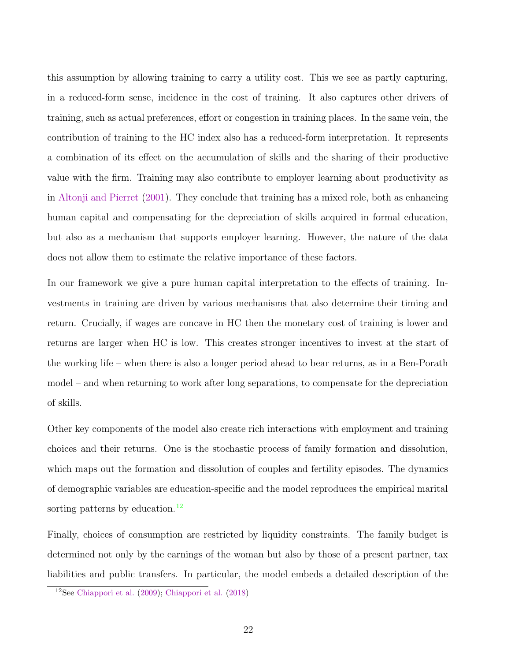this assumption by allowing training to carry a utility cost. This we see as partly capturing, in a reduced-form sense, incidence in the cost of training. It also captures other drivers of training, such as actual preferences, effort or congestion in training places. In the same vein, the contribution of training to the HC index also has a reduced-form interpretation. It represents a combination of its effect on the accumulation of skills and the sharing of their productive value with the firm. Training may also contribute to employer learning about productivity as in [Altonji and Pierret](#page-50-0) [\(2001\)](#page-50-0). They conclude that training has a mixed role, both as enhancing human capital and compensating for the depreciation of skills acquired in formal education, but also as a mechanism that supports employer learning. However, the nature of the data does not allow them to estimate the relative importance of these factors.

In our framework we give a pure human capital interpretation to the effects of training. Investments in training are driven by various mechanisms that also determine their timing and return. Crucially, if wages are concave in HC then the monetary cost of training is lower and returns are larger when HC is low. This creates stronger incentives to invest at the start of the working life – when there is also a longer period ahead to bear returns, as in a Ben-Porath model – and when returning to work after long separations, to compensate for the depreciation of skills.

Other key components of the model also create rich interactions with employment and training choices and their returns. One is the stochastic process of family formation and dissolution, which maps out the formation and dissolution of couples and fertility episodes. The dynamics of demographic variables are education-specific and the model reproduces the empirical marital sorting patterns by education.<sup>12</sup>

Finally, choices of consumption are restricted by liquidity constraints. The family budget is determined not only by the earnings of the woman but also by those of a present partner, tax liabilities and public transfers. In particular, the model embeds a detailed description of the

<sup>12</sup>See [Chiappori et al.](#page-51-0) [\(2009](#page-51-0)); [Chiappori et al.](#page-51-0) [\(2018](#page-51-0))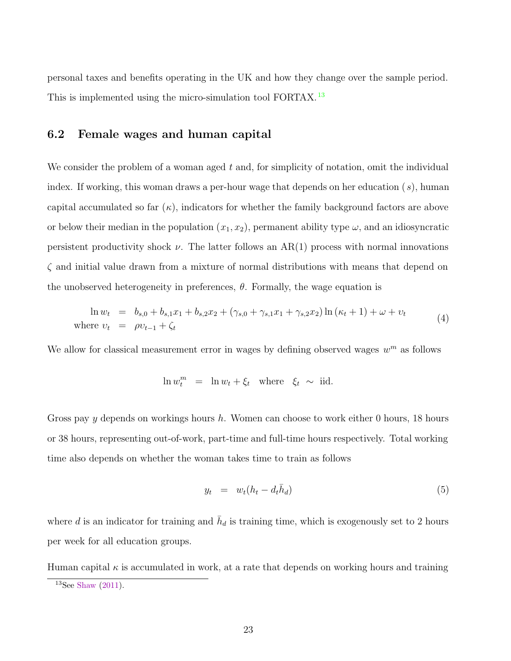<span id="page-22-0"></span>personal taxes and benefits operating in the UK and how they change over the sample period. This is implemented using the micro-simulation tool FORTAX.<sup>13</sup>

#### 6.2 Female wages and human capital

We consider the problem of a woman aged  $t$  and, for simplicity of notation, omit the individual index. If working, this woman draws a per-hour wage that depends on her education  $(s)$ , human capital accumulated so far  $(\kappa)$ , indicators for whether the family background factors are above or below their median in the population  $(x_1, x_2)$ , permanent ability type  $\omega$ , and an idiosyncratic persistent productivity shock  $\nu$ . The latter follows an AR(1) process with normal innovations  $\zeta$  and initial value drawn from a mixture of normal distributions with means that depend on the unobserved heterogeneity in preferences,  $\theta$ . Formally, the wage equation is

$$
\ln w_t = b_{s,0} + b_{s,1}x_1 + b_{s,2}x_2 + (\gamma_{s,0} + \gamma_{s,1}x_1 + \gamma_{s,2}x_2) \ln(\kappa_t + 1) + \omega + v_t
$$
  
where  $v_t = \rho v_{t-1} + \zeta_t$  (4)

We allow for classical measurement error in wages by defining observed wages  $w^m$  as follows

$$
\ln w_t^m = \ln w_t + \xi_t \quad \text{where} \quad \xi_t \sim \text{ iid.}
$$

Gross pay y depends on workings hours h. Women can choose to work either 0 hours, 18 hours or 38 hours, representing out-of-work, part-time and full-time hours respectively. Total working time also depends on whether the woman takes time to train as follows

$$
y_t = w_t (h_t - d_t \bar{h}_d) \tag{5}
$$

where d is an indicator for training and  $\bar{h}_d$  is training time, which is exogenously set to 2 hours per week for all education groups.

Human capital  $\kappa$  is accumulated in work, at a rate that depends on working hours and training

<sup>13</sup>See [Shaw](#page-52-0) [\(2011](#page-52-0)).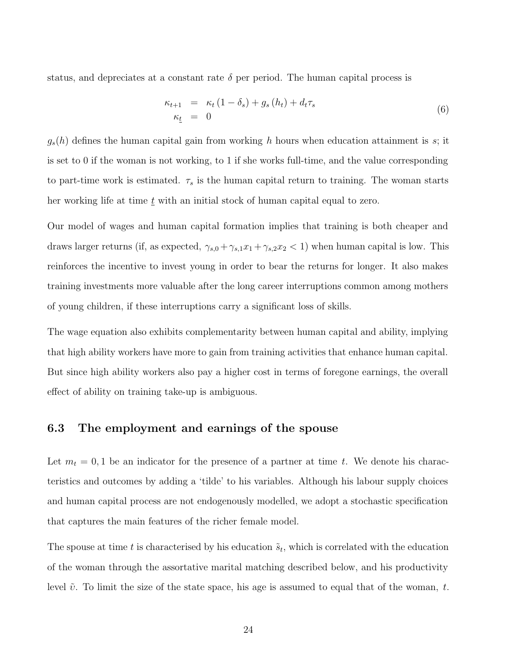<span id="page-23-0"></span>status, and depreciates at a constant rate  $\delta$  per period. The human capital process is

$$
\begin{array}{rcl}\n\kappa_{t+1} & = & \kappa_t \left( 1 - \delta_s \right) + g_s \left( h_t \right) + d_t \tau_s \\
\kappa_t & = & 0\n\end{array} \tag{6}
$$

 $g_s(h)$  defines the human capital gain from working h hours when education attainment is s; it is set to 0 if the woman is not working, to 1 if she works full-time, and the value corresponding to part-time work is estimated.  $\tau_s$  is the human capital return to training. The woman starts her working life at time  $\underline{t}$  with an initial stock of human capital equal to zero.

Our model of wages and human capital formation implies that training is both cheaper and draws larger returns (if, as expected,  $\gamma_{s,0} + \gamma_{s,1}x_1 + \gamma_{s,2}x_2 < 1$ ) when human capital is low. This reinforces the incentive to invest young in order to bear the returns for longer. It also makes training investments more valuable after the long career interruptions common among mothers of young children, if these interruptions carry a significant loss of skills.

The wage equation also exhibits complementarity between human capital and ability, implying that high ability workers have more to gain from training activities that enhance human capital. But since high ability workers also pay a higher cost in terms of foregone earnings, the overall effect of ability on training take-up is ambiguous.

#### 6.3 The employment and earnings of the spouse

Let  $m_t = 0, 1$  be an indicator for the presence of a partner at time t. We denote his characteristics and outcomes by adding a 'tilde' to his variables. Although his labour supply choices and human capital process are not endogenously modelled, we adopt a stochastic specification that captures the main features of the richer female model.

The spouse at time t is characterised by his education  $\tilde{s}_t$ , which is correlated with the education of the woman through the assortative marital matching described below, and his productivity level  $\tilde{v}$ . To limit the size of the state space, his age is assumed to equal that of the woman, t.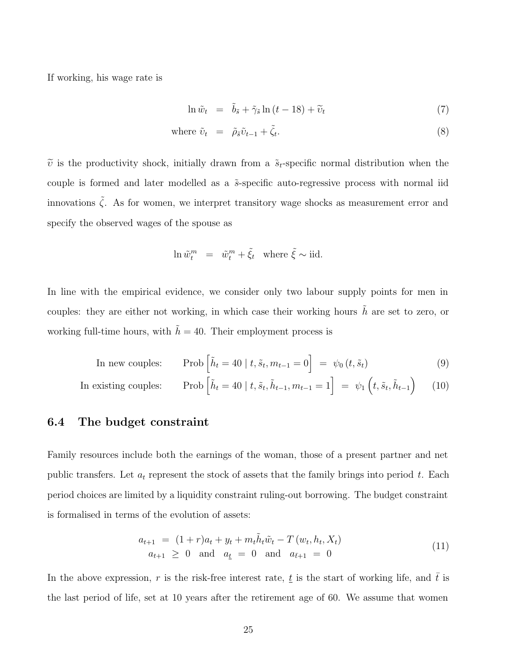<span id="page-24-0"></span>If working, his wage rate is

$$
\ln \tilde{w}_t = \tilde{b}_{\tilde{s}} + \tilde{\gamma}_{\tilde{s}} \ln (t - 18) + \tilde{v}_t \tag{7}
$$

where 
$$
\tilde{\nu}_t = \tilde{\rho}_s \tilde{\nu}_{t-1} + \tilde{\zeta}_t.
$$
 (8)

 $\tilde{v}$  is the productivity shock, initially drawn from a  $\tilde{s}_t$ -specific normal distribution when the couple is formed and later modelled as a  $\tilde{s}$ -specific auto-regressive process with normal iid innovations  $\tilde{\zeta}$ . As for women, we interpret transitory wage shocks as measurement error and specify the observed wages of the spouse as

$$
\ln \tilde{w}_t^m = \tilde{w}_t^m + \tilde{\xi}_t \quad \text{where } \tilde{\xi} \sim \text{iid}.
$$

In line with the empirical evidence, we consider only two labour supply points for men in couples: they are either not working, in which case their working hours  $\tilde{h}$  are set to zero, or working full-time hours, with  $\tilde{h} = 40$ . Their employment process is

In new couples: Prob
$$
\left[\tilde{h}_t = 40 \mid t, \tilde{s}_t, m_{t-1} = 0\right] = \psi_0(t, \tilde{s}_t)
$$
 (9)

In existing couples:  $\,$  $\tilde{h}_t = 40 \mid t, \tilde{s}_t, \tilde{h}_{t-1}, m_{t-1} = 1 \Big] = \psi_1 \left( t, \tilde{s}_t, \tilde{h}_{t-1} \right)$ (10)

#### 6.4 The budget constraint

Family resources include both the earnings of the woman, those of a present partner and net public transfers. Let  $a_t$  represent the stock of assets that the family brings into period t. Each period choices are limited by a liquidity constraint ruling-out borrowing. The budget constraint is formalised in terms of the evolution of assets:

$$
a_{t+1} = (1+r)a_t + y_t + m_t \tilde{h}_t \tilde{w}_t - T(w_t, h_t, X_t)
$$
  
\n
$$
a_{t+1} \ge 0 \text{ and } a_{\underline{t}} = 0 \text{ and } a_{\overline{t}+1} = 0
$$
\n(11)

In the above expression, r is the risk-free interest rate,  $\underline{t}$  is the start of working life, and  $\overline{t}$  is the last period of life, set at 10 years after the retirement age of 60. We assume that women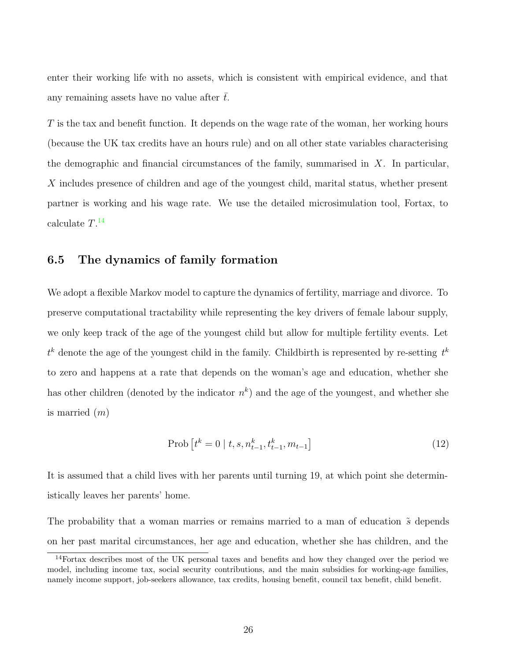<span id="page-25-0"></span>enter their working life with no assets, which is consistent with empirical evidence, and that any remaining assets have no value after  $\bar{t}$ .

T is the tax and benefit function. It depends on the wage rate of the woman, her working hours (because the UK tax credits have an hours rule) and on all other state variables characterising the demographic and financial circumstances of the family, summarised in  $X$ . In particular, X includes presence of children and age of the youngest child, marital status, whether present partner is working and his wage rate. We use the detailed microsimulation tool, Fortax, to calculate  $T.^{14}$ 

#### 6.5 The dynamics of family formation

We adopt a flexible Markov model to capture the dynamics of fertility, marriage and divorce. To preserve computational tractability while representing the key drivers of female labour supply, we only keep track of the age of the youngest child but allow for multiple fertility events. Let  $t^k$  denote the age of the youngest child in the family. Childbirth is represented by re-setting  $t^k$ to zero and happens at a rate that depends on the woman's age and education, whether she has other children (denoted by the indicator  $n^k$ ) and the age of the youngest, and whether she is married  $(m)$ 

$$
Prob[tk = 0 | t, s, nkt-1, tkt-1, mt-1]
$$
\n(12)

It is assumed that a child lives with her parents until turning 19, at which point she deterministically leaves her parents' home.

The probability that a woman marries or remains married to a man of education  $\tilde{s}$  depends on her past marital circumstances, her age and education, whether she has children, and the

<sup>&</sup>lt;sup>14</sup>Fortax describes most of the UK personal taxes and benefits and how they changed over the period we model, including income tax, social security contributions, and the main subsidies for working-age families, namely income support, job-seekers allowance, tax credits, housing benefit, council tax benefit, child benefit.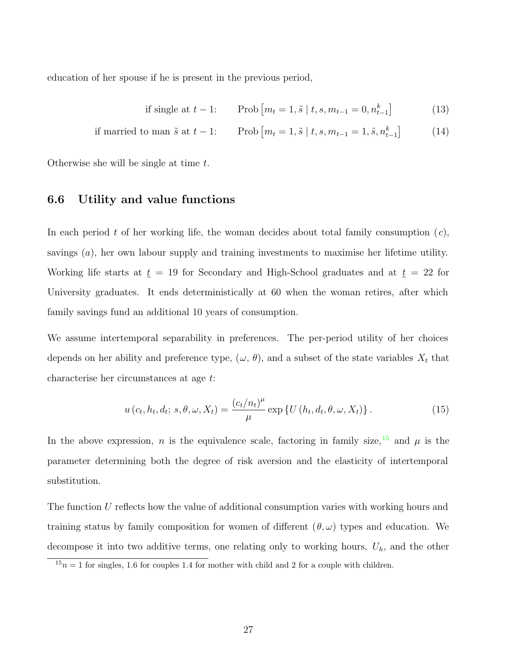<span id="page-26-0"></span>education of her spouse if he is present in the previous period,

if single at 
$$
t-1
$$
: Prob $[m_t = 1, \tilde{s} | t, s, m_{t-1} = 0, n_{t-1}^k]$  (13)

if married to man 
$$
\tilde{s}
$$
 at  $t-1$ : Prob $[m_t = 1, \tilde{s} | t, s, m_{t-1} = 1, \tilde{s}, n_{t-1}^k]$  (14)

Otherwise she will be single at time t.

#### 6.6 Utility and value functions

In each period t of her working life, the woman decides about total family consumption  $(c)$ , savings (a), her own labour supply and training investments to maximise her lifetime utility. Working life starts at  $\underline{t} = 19$  for Secondary and High-School graduates and at  $\underline{t} = 22$  for University graduates. It ends deterministically at 60 when the woman retires, after which family savings fund an additional 10 years of consumption.

We assume intertemporal separability in preferences. The per-period utility of her choices depends on her ability and preference type,  $(\omega, \theta)$ , and a subset of the state variables  $X_t$  that characterise her circumstances at age t:

$$
u\left(c_{t}, h_{t}, d_{t}; s, \theta, \omega, X_{t}\right) = \frac{\left(c_{t}/n_{t}\right)^{\mu}}{\mu} \exp\left\{U\left(h_{t}, d_{t}, \theta, \omega, X_{t}\right)\right\}.
$$
 (15)

In the above expression, n is the equivalence scale, factoring in family size,  $15$  and  $\mu$  is the parameter determining both the degree of risk aversion and the elasticity of intertemporal substitution.

The function U reflects how the value of additional consumption varies with working hours and training status by family composition for women of different  $(\theta, \omega)$  types and education. We decompose it into two additive terms, one relating only to working hours,  $U_h$ , and the other

 $15n = 1$  for singles, 1.6 for couples 1.4 for mother with child and 2 for a couple with children.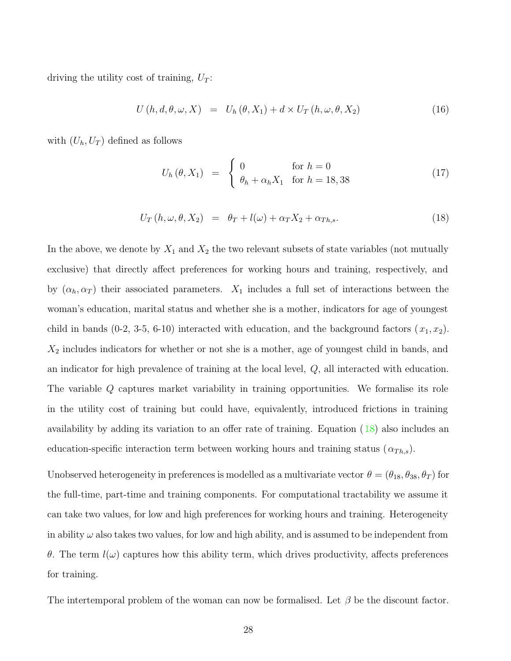<span id="page-27-0"></span>driving the utility cost of training,  $U_T$ :

$$
U(h, d, \theta, \omega, X) = U_h(\theta, X_1) + d \times U_T(h, \omega, \theta, X_2)
$$
\n(16)

with  $(U_h, U_T)$  defined as follows

$$
U_h(\theta, X_1) = \begin{cases} 0 & \text{for } h = 0\\ \theta_h + \alpha_h X_1 & \text{for } h = 18, 38 \end{cases}
$$
 (17)

$$
U_T(h,\omega,\theta,X_2) = \theta_T + l(\omega) + \alpha_T X_2 + \alpha_{Th,s}.
$$
\n(18)

In the above, we denote by  $X_1$  and  $X_2$  the two relevant subsets of state variables (not mutually exclusive) that directly affect preferences for working hours and training, respectively, and by  $(\alpha_h, \alpha_T)$  their associated parameters.  $X_1$  includes a full set of interactions between the woman's education, marital status and whether she is a mother, indicators for age of youngest child in bands (0-2, 3-5, 6-10) interacted with education, and the background factors  $(x_1, x_2)$ .  $X_2$  includes indicators for whether or not she is a mother, age of youngest child in bands, and an indicator for high prevalence of training at the local level,  $Q$ , all interacted with education. The variable Q captures market variability in training opportunities. We formalise its role in the utility cost of training but could have, equivalently, introduced frictions in training availability by adding its variation to an offer rate of training. Equation (18) also includes an education-specific interaction term between working hours and training status  $(\alpha_{Th,s})$ .

Unobserved heterogeneity in preferences is modelled as a multivariate vector  $\theta = (\theta_{18}, \theta_{38}, \theta_T)$  for the full-time, part-time and training components. For computational tractability we assume it can take two values, for low and high preferences for working hours and training. Heterogeneity in ability  $\omega$  also takes two values, for low and high ability, and is assumed to be independent from θ. The term  $l(\omega)$  captures how this ability term, which drives productivity, affects preferences for training.

The intertemporal problem of the woman can now be formalised. Let  $\beta$  be the discount factor.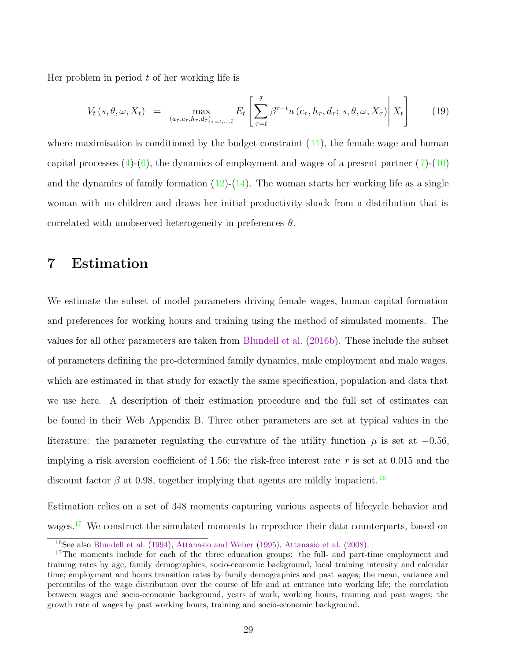Her problem in period  $t$  of her working life is

$$
V_t(s, \theta, \omega, X_t) = \max_{(a_{\tau}, c_{\tau}, h_{\tau}, d_{\tau})_{\tau=t, \dots, \bar{t}}} E_t \left[ \sum_{\tau=t}^{\bar{t}} \beta^{\tau-t} u(c_{\tau}, h_{\tau}, d_{\tau}; s, \theta, \omega, X_{\tau}) \middle| X_t \right]
$$
(19)

where maximisation is conditioned by the budget constraint  $(11)$  $(11)$ , the female wage and human capital processes  $(4)-(6)$  $(4)-(6)$  $(4)-(6)$  $(4)-(6)$ , the dynamics of employment and wages of a present partner  $(7)-(10)$  $(7)-(10)$  $(7)-(10)$  $(7)-(10)$  $(7)-(10)$ and the dynamics of family formation  $(12)-(14)$  $(12)-(14)$  $(12)-(14)$  $(12)-(14)$  $(12)-(14)$ . The woman starts her working life as a single woman with no children and draws her initial productivity shock from a distribution that is correlated with unobserved heterogeneity in preferences  $\theta$ .

### 7 Estimation

We estimate the subset of model parameters driving female wages, human capital formation and preferences for working hours and training using the method of simulated moments. The values for all other parameters are taken from [Blundell et al.](#page-51-0) [\(2016b](#page-51-0)). These include the subset of parameters defining the pre-determined family dynamics, male employment and male wages, which are estimated in that study for exactly the same specification, population and data that we use here. A description of their estimation procedure and the full set of estimates can be found in their Web Appendix B. Three other parameters are set at typical values in the literature: the parameter regulating the curvature of the utility function  $\mu$  is set at  $-0.56$ , implying a risk aversion coefficient of 1.56; the risk-free interest rate r is set at 0.015 and the discount factor  $\beta$  at 0.98, together implying that agents are mildly impatient. <sup>16</sup>

Estimation relies on a set of 348 moments capturing various aspects of lifecycle behavior and wages.<sup>17</sup> We construct the simulated moments to reproduce their data counterparts, based on

<sup>16</sup>See also [Blundell et al.](#page-51-0) [\(1994](#page-51-0)), [Attanasio and Weber](#page-50-0) [\(1995](#page-50-0)), [Attanasio et al.](#page-50-0) ([2008\)](#page-50-0).

<sup>&</sup>lt;sup>17</sup>The moments include for each of the three education groups: the full- and part-time employment and training rates by age, family demographics, socio-economic background, local training intensity and calendar time; employment and hours transition rates by family demographics and past wages; the mean, variance and percentiles of the wage distribution over the course of life and at entrance into working life; the correlation between wages and socio-economic background, years of work, working hours, training and past wages; the growth rate of wages by past working hours, training and socio-economic background.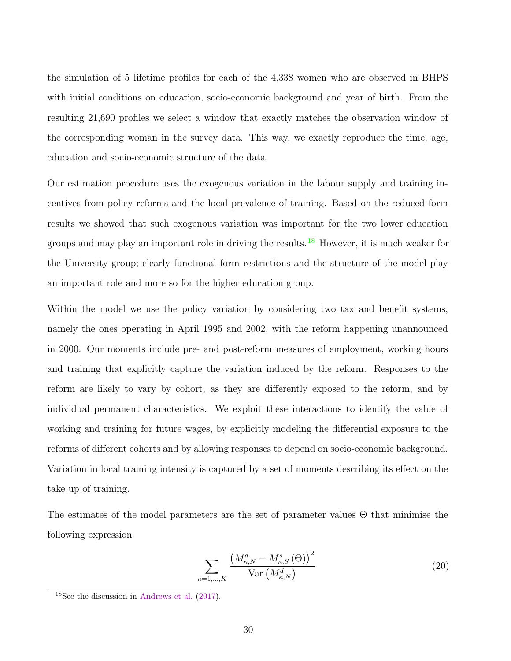the simulation of 5 lifetime profiles for each of the 4,338 women who are observed in BHPS with initial conditions on education, socio-economic background and year of birth. From the resulting 21,690 profiles we select a window that exactly matches the observation window of the corresponding woman in the survey data. This way, we exactly reproduce the time, age, education and socio-economic structure of the data.

Our estimation procedure uses the exogenous variation in the labour supply and training incentives from policy reforms and the local prevalence of training. Based on the reduced form results we showed that such exogenous variation was important for the two lower education groups and may play an important role in driving the results.<sup>18</sup> However, it is much weaker for the University group; clearly functional form restrictions and the structure of the model play an important role and more so for the higher education group.

Within the model we use the policy variation by considering two tax and benefit systems, namely the ones operating in April 1995 and 2002, with the reform happening unannounced in 2000. Our moments include pre- and post-reform measures of employment, working hours and training that explicitly capture the variation induced by the reform. Responses to the reform are likely to vary by cohort, as they are differently exposed to the reform, and by individual permanent characteristics. We exploit these interactions to identify the value of working and training for future wages, by explicitly modeling the differential exposure to the reforms of different cohorts and by allowing responses to depend on socio-economic background. Variation in local training intensity is captured by a set of moments describing its effect on the take up of training.

The estimates of the model parameters are the set of parameter values Θ that minimise the following expression

$$
\sum_{\kappa=1,\dots,K} \frac{\left(M_{\kappa,N}^d - M_{\kappa,S}^s(\Theta)\right)^2}{\text{Var}\left(M_{\kappa,N}^d\right)}\tag{20}
$$

<sup>18</sup>See the discussion in [Andrews et al.](#page-50-0) [\(2017](#page-50-0)).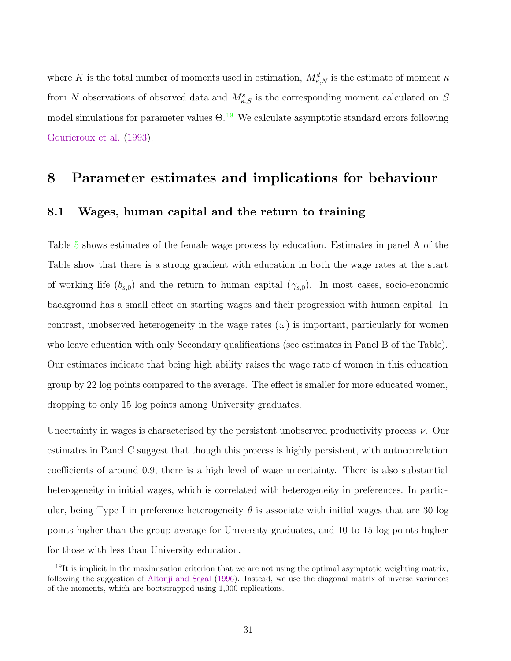where K is the total number of moments used in estimation,  $M_{\kappa,N}^d$  is the estimate of moment  $\kappa$ from N observations of observed data and  $M_{\kappa,S}^s$  is the corresponding moment calculated on S model simulations for parameter values  $\Theta$ .<sup>19</sup> We calculate asymptotic standard errors following [Gourieroux et al.](#page-52-0) ([1993](#page-52-0)).

### 8 Parameter estimates and implications for behaviour

#### 8.1 Wages, human capital and the return to training

Table [5](#page-31-0) shows estimates of the female wage process by education. Estimates in panel A of the Table show that there is a strong gradient with education in both the wage rates at the start of working life  $(b_{s,0})$  and the return to human capital  $(\gamma_{s,0})$ . In most cases, socio-economic background has a small effect on starting wages and their progression with human capital. In contrast, unobserved heterogeneity in the wage rates  $(\omega)$  is important, particularly for women who leave education with only Secondary qualifications (see estimates in Panel B of the Table). Our estimates indicate that being high ability raises the wage rate of women in this education group by 22 log points compared to the average. The effect is smaller for more educated women, dropping to only 15 log points among University graduates.

Uncertainty in wages is characterised by the persistent unobserved productivity process  $\nu$ . Our estimates in Panel C suggest that though this process is highly persistent, with autocorrelation coefficients of around 0.9, there is a high level of wage uncertainty. There is also substantial heterogeneity in initial wages, which is correlated with heterogeneity in preferences. In particular, being Type I in preference heterogeneity  $\theta$  is associate with initial wages that are 30 log points higher than the group average for University graduates, and 10 to 15 log points higher for those with less than University education.

<sup>&</sup>lt;sup>19</sup>It is implicit in the maximisation criterion that we are not using the optimal asymptotic weighting matrix, following the suggestion of [Altonji and Segal](#page-50-0) ([1996\)](#page-50-0). Instead, we use the diagonal matrix of inverse variances of the moments, which are bootstrapped using 1,000 replications.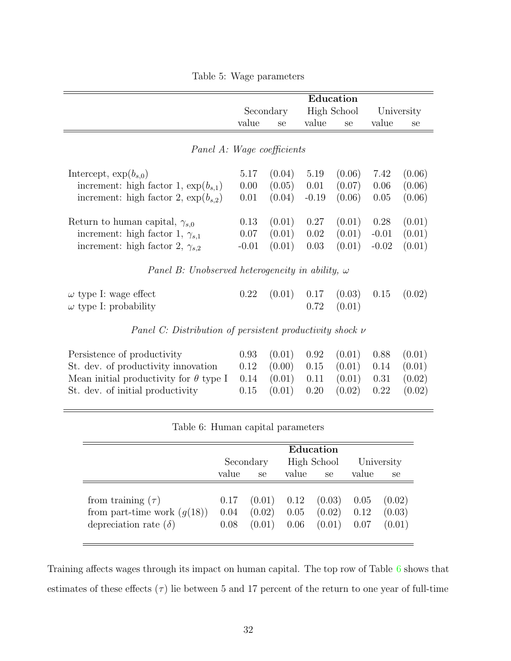|  |  | Table 5: Wage parameters |
|--|--|--------------------------|
|--|--|--------------------------|

<span id="page-31-0"></span>

|                                                                                                                                 |                         |                            |                      | Education                  |                            |                            |
|---------------------------------------------------------------------------------------------------------------------------------|-------------------------|----------------------------|----------------------|----------------------------|----------------------------|----------------------------|
|                                                                                                                                 |                         | Secondary                  |                      | High School                |                            | University                 |
|                                                                                                                                 | value                   | se                         | value                | se                         | value                      | se                         |
| Panel A: Wage coefficients                                                                                                      |                         |                            |                      |                            |                            |                            |
| Intercept, $\exp(b_{s,0})$                                                                                                      | 5.17                    | (0.04)                     | 5.19                 | (0.06)                     | 7.42                       | (0.06)                     |
| increment: high factor 1, $\exp(b_{s,1})$                                                                                       | 0.00                    | (0.05)                     | 0.01                 | (0.07)                     | 0.06                       | (0.06)                     |
| increment: high factor 2, $\exp(b_{s,2})$                                                                                       | 0.01                    | (0.04)                     | $-0.19$              | (0.06)                     | 0.05                       | (0.06)                     |
| Return to human capital, $\gamma_{s,0}$<br>increment: high factor 1, $\gamma_{s,1}$<br>increment: high factor 2, $\gamma_{s,2}$ | 0.13<br>0.07<br>$-0.01$ | (0.01)<br>(0.01)<br>(0.01) | 0.27<br>0.02<br>0.03 | (0.01)<br>(0.01)<br>(0.01) | 0.28<br>$-0.01$<br>$-0.02$ | (0.01)<br>(0.01)<br>(0.01) |
| Panel B: Unobserved heterogeneity in ability, $\omega$                                                                          |                         |                            |                      |                            |                            |                            |
| $\omega$ type I: wage effect<br>$\omega$ type I: probability                                                                    | 0.22                    | (0.01)                     | 0.17<br>0.72         | (0.03)<br>(0.01)           | 0.15                       | (0.02)                     |
| Panel C: Distribution of persistent productivity shock $\nu$                                                                    |                         |                            |                      |                            |                            |                            |
| Persistence of productivity                                                                                                     | 0.93                    | (0.01)                     | 0.92                 | (0.01)                     | 0.88                       | (0.01)                     |
| St. dev. of productivity innovation                                                                                             | 0.12                    | (0.00)                     | 0.15                 | (0.01)                     | 0.14                       | (0.01)                     |
| Mean initial productivity for $\theta$ type I                                                                                   | 0.14                    | (0.01)                     | 0.11                 | (0.01)                     | 0.31                       | (0.02)                     |
| St. dev. of initial productivity                                                                                                | 0.15                    | (0.01)                     | 0.20                 | (0.02)                     | 0.22                       | (0.02)                     |
|                                                                                                                                 |                         |                            |                      |                            |                            |                            |

|  |  |  | Table 6: Human capital parameters |
|--|--|--|-----------------------------------|
|--|--|--|-----------------------------------|

|                                                                                         |                      |                  |                               | Education                  |                      |                            |
|-----------------------------------------------------------------------------------------|----------------------|------------------|-------------------------------|----------------------------|----------------------|----------------------------|
|                                                                                         |                      | Secondary        | High School                   |                            | University           |                            |
|                                                                                         | value                | se               | value                         | <sub>se</sub>              | value                | se                         |
| from training $(\tau)$<br>from part-time work $(g(18))$<br>depreciation rate $(\delta)$ | 0.17<br>0.04<br>0.08 | (0.02)<br>(0.01) | $(0.01)$ 0.12<br>0.05<br>0.06 | (0.03)<br>(0.02)<br>(0.01) | 0.05<br>0.12<br>0.07 | (0.02)<br>(0.03)<br>(0.01) |

Training affects wages through its impact on human capital. The top row of Table 6 shows that estimates of these effects  $(\tau)$  lie between 5 and 17 percent of the return to one year of full-time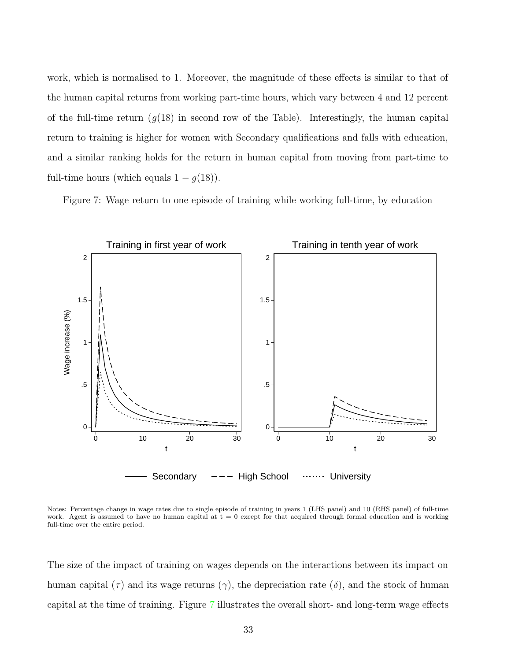work, which is normalised to 1. Moreover, the magnitude of these effects is similar to that of the human capital returns from working part-time hours, which vary between 4 and 12 percent of the full-time return  $(g(18)$  in second row of the Table). Interestingly, the human capital return to training is higher for women with Secondary qualifications and falls with education, and a similar ranking holds for the return in human capital from moving from part-time to full-time hours (which equals  $1 - g(18)$ ).

Figure 7: Wage return to one episode of training while working full-time, by education



Notes: Percentage change in wage rates due to single episode of training in years 1 (LHS panel) and 10 (RHS panel) of full-time work. Agent is assumed to have no human capital at  $t = 0$  except for that acquired through formal education and is working full-time over the entire period.

The size of the impact of training on wages depends on the interactions between its impact on human capital ( $\tau$ ) and its wage returns ( $\gamma$ ), the depreciation rate ( $\delta$ ), and the stock of human capital at the time of training. Figure 7 illustrates the overall short- and long-term wage effects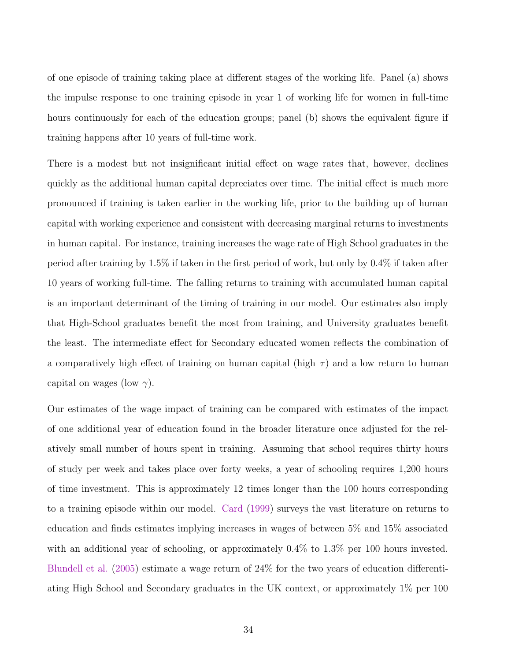of one episode of training taking place at different stages of the working life. Panel (a) shows the impulse response to one training episode in year 1 of working life for women in full-time hours continuously for each of the education groups; panel (b) shows the equivalent figure if training happens after 10 years of full-time work.

There is a modest but not insignificant initial effect on wage rates that, however, declines quickly as the additional human capital depreciates over time. The initial effect is much more pronounced if training is taken earlier in the working life, prior to the building up of human capital with working experience and consistent with decreasing marginal returns to investments in human capital. For instance, training increases the wage rate of High School graduates in the period after training by 1.5% if taken in the first period of work, but only by 0.4% if taken after 10 years of working full-time. The falling returns to training with accumulated human capital is an important determinant of the timing of training in our model. Our estimates also imply that High-School graduates benefit the most from training, and University graduates benefit the least. The intermediate effect for Secondary educated women reflects the combination of a comparatively high effect of training on human capital (high  $\tau$ ) and a low return to human capital on wages (low  $\gamma$ ).

Our estimates of the wage impact of training can be compared with estimates of the impact of one additional year of education found in the broader literature once adjusted for the relatively small number of hours spent in training. Assuming that school requires thirty hours of study per week and takes place over forty weeks, a year of schooling requires 1,200 hours of time investment. This is approximately 12 times longer than the 100 hours corresponding to a training episode within our model. [Card](#page-51-0) ([1999](#page-51-0)) surveys the vast literature on returns to education and finds estimates implying increases in wages of between 5% and 15% associated with an additional year of schooling, or approximately  $0.4\%$  to  $1.3\%$  per 100 hours invested. [Blundell et al.](#page-51-0) [\(2005\)](#page-51-0) estimate a wage return of 24% for the two years of education differentiating High School and Secondary graduates in the UK context, or approximately 1% per 100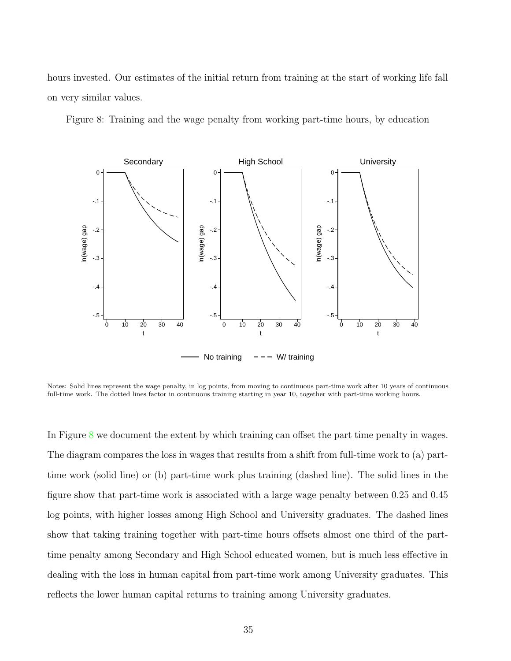hours invested. Our estimates of the initial return from training at the start of working life fall on very similar values.

Figure 8: Training and the wage penalty from working part-time hours, by education



Notes: Solid lines represent the wage penalty, in log points, from moving to continuous part-time work after 10 years of continuous full-time work. The dotted lines factor in continuous training starting in year 10, together with part-time working hours.

In Figure 8 we document the extent by which training can offset the part time penalty in wages. The diagram compares the loss in wages that results from a shift from full-time work to (a) parttime work (solid line) or (b) part-time work plus training (dashed line). The solid lines in the figure show that part-time work is associated with a large wage penalty between 0.25 and 0.45 log points, with higher losses among High School and University graduates. The dashed lines show that taking training together with part-time hours offsets almost one third of the parttime penalty among Secondary and High School educated women, but is much less effective in dealing with the loss in human capital from part-time work among University graduates. This reflects the lower human capital returns to training among University graduates.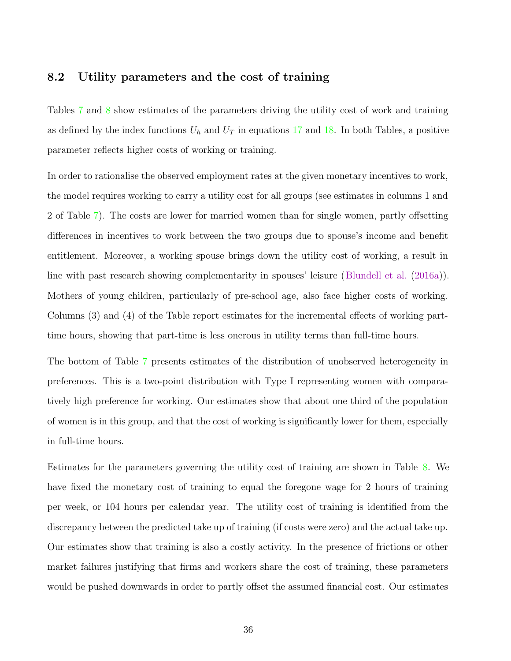#### 8.2 Utility parameters and the cost of training

Tables [7](#page-36-0) and [8](#page-37-0) show estimates of the parameters driving the utility cost of work and training as defined by the index functions  $U_h$  and  $U_T$  in equations [17](#page-27-0) and [18](#page-27-0). In both Tables, a positive parameter reflects higher costs of working or training.

In order to rationalise the observed employment rates at the given monetary incentives to work, the model requires working to carry a utility cost for all groups (see estimates in columns 1 and 2 of Table [7](#page-36-0)). The costs are lower for married women than for single women, partly offsetting differences in incentives to work between the two groups due to spouse's income and benefit entitlement. Moreover, a working spouse brings down the utility cost of working, a result in line with past research showing complementarity in spouses' leisure ([Blundell et al.](#page-51-0) ([2016a](#page-51-0))). Mothers of young children, particularly of pre-school age, also face higher costs of working. Columns (3) and (4) of the Table report estimates for the incremental effects of working parttime hours, showing that part-time is less onerous in utility terms than full-time hours.

The bottom of Table [7](#page-36-0) presents estimates of the distribution of unobserved heterogeneity in preferences. This is a two-point distribution with Type I representing women with comparatively high preference for working. Our estimates show that about one third of the population of women is in this group, and that the cost of working is significantly lower for them, especially in full-time hours.

Estimates for the parameters governing the utility cost of training are shown in Table [8](#page-37-0). We have fixed the monetary cost of training to equal the foregone wage for 2 hours of training per week, or 104 hours per calendar year. The utility cost of training is identified from the discrepancy between the predicted take up of training (if costs were zero) and the actual take up. Our estimates show that training is also a costly activity. In the presence of frictions or other market failures justifying that firms and workers share the cost of training, these parameters would be pushed downwards in order to partly offset the assumed financial cost. Our estimates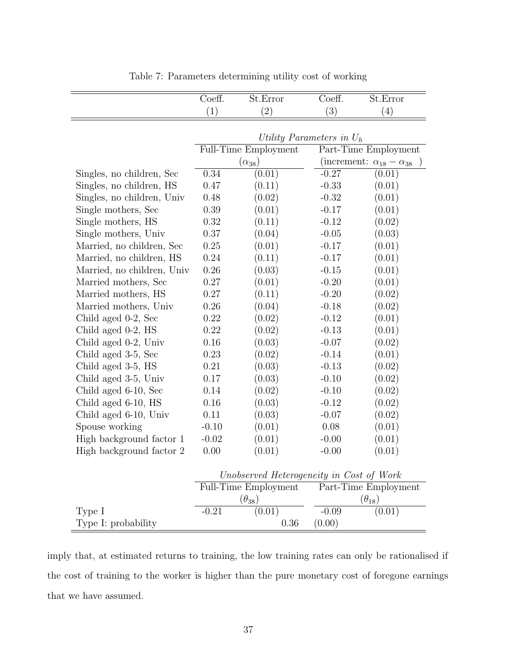<span id="page-36-0"></span>

|                            | Coeff.<br>St.Error          |                                          | Coeff.  | St.Error                                |  |  |
|----------------------------|-----------------------------|------------------------------------------|---------|-----------------------------------------|--|--|
|                            | (1)                         | (2)                                      | (3)     | (4)                                     |  |  |
|                            |                             |                                          |         |                                         |  |  |
|                            | Utility Parameters in $U_h$ |                                          |         |                                         |  |  |
|                            |                             | Full-Time Employment                     |         | Part-Time Employment                    |  |  |
|                            |                             | $(\alpha_{38})$                          |         | (increment: $\alpha_{18} - \alpha_{38}$ |  |  |
| Singles, no children, Sec  | 0.34                        | (0.01)                                   | $-0.27$ | (0.01)                                  |  |  |
| Singles, no children, HS   | 0.47                        | (0.11)                                   | $-0.33$ | (0.01)                                  |  |  |
| Singles, no children, Univ | 0.48                        | (0.02)                                   | $-0.32$ | (0.01)                                  |  |  |
| Single mothers, Sec        | 0.39                        | (0.01)                                   | $-0.17$ | (0.01)                                  |  |  |
| Single mothers, HS         | 0.32                        | (0.11)                                   | $-0.12$ | (0.02)                                  |  |  |
| Single mothers, Univ       | 0.37                        | (0.04)                                   | $-0.05$ | (0.03)                                  |  |  |
| Married, no children, Sec  | 0.25                        | (0.01)                                   | $-0.17$ | (0.01)                                  |  |  |
| Married, no children, HS   | 0.24                        | (0.11)                                   | $-0.17$ | (0.01)                                  |  |  |
| Married, no children, Univ | 0.26                        | (0.03)                                   | $-0.15$ | (0.01)                                  |  |  |
| Married mothers, Sec       | 0.27                        | (0.01)                                   | $-0.20$ | (0.01)                                  |  |  |
| Married mothers, HS        | 0.27                        | (0.11)                                   | $-0.20$ | (0.02)                                  |  |  |
| Married mothers, Univ      | 0.26                        | (0.04)                                   | $-0.18$ | (0.02)                                  |  |  |
| Child aged 0-2, Sec        | 0.22                        | (0.02)                                   | $-0.12$ | (0.01)                                  |  |  |
| Child aged 0-2, HS         | $0.22\,$                    | (0.02)                                   | $-0.13$ | (0.01)                                  |  |  |
| Child aged 0-2, Univ       | 0.16                        | (0.03)                                   | $-0.07$ | (0.02)                                  |  |  |
| Child aged 3-5, Sec        | 0.23                        | (0.02)                                   | $-0.14$ | (0.01)                                  |  |  |
| Child aged 3-5, HS         | 0.21                        | (0.03)                                   | $-0.13$ | (0.02)                                  |  |  |
| Child aged 3-5, Univ       | 0.17                        | (0.03)                                   | $-0.10$ | (0.02)                                  |  |  |
| Child aged 6-10, Sec       | 0.14                        | (0.02)                                   | $-0.10$ | (0.02)                                  |  |  |
| Child aged 6-10, HS        | 0.16                        | (0.03)                                   | $-0.12$ | (0.02)                                  |  |  |
| Child aged 6-10, Univ      | 0.11                        | (0.03)                                   | $-0.07$ | (0.02)                                  |  |  |
| Spouse working             | $-0.10$                     | (0.01)                                   | 0.08    | (0.01)                                  |  |  |
| High background factor 1   | $-0.02$                     | (0.01)                                   | $-0.00$ | (0.01)                                  |  |  |
| High background factor 2   | 0.00                        | (0.01)                                   | $-0.00$ | (0.01)                                  |  |  |
|                            |                             | Unobserved Heterogeneity in Cost of Work |         |                                         |  |  |
|                            |                             | <b>Full-Time Employment</b>              |         | Part-Time Employment                    |  |  |
|                            |                             | $(\theta_{38})$                          |         | $(\theta_{18})$                         |  |  |
| Type I                     | $-0.21$                     | (0.01)                                   | $-0.09$ | (0.01)                                  |  |  |
| Type I: probability        |                             | 0.36                                     | (0.00)  |                                         |  |  |

Table 7: Parameters determining utility cost of working

imply that, at estimated returns to training, the low training rates can only be rationalised if the cost of training to the worker is higher than the pure monetary cost of foregone earnings that we have assumed.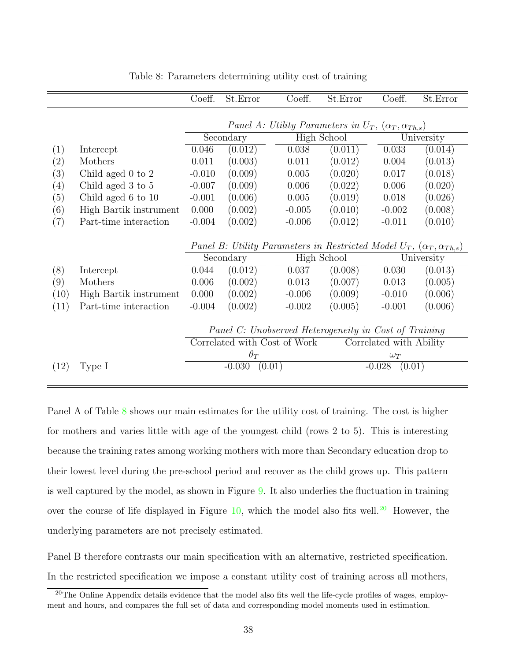<span id="page-37-0"></span>

|      |                        | Coeff.   | St.Error   | Coeff.                                                                              | St.Error | Coeff.                  | St.Error   |
|------|------------------------|----------|------------|-------------------------------------------------------------------------------------|----------|-------------------------|------------|
|      |                        |          |            |                                                                                     |          |                         |            |
|      |                        |          |            | Panel A: Utility Parameters in $U_T$ , $(\alpha_T, \alpha_{Th,s})$                  |          |                         |            |
|      |                        |          | Secondary  | <b>High School</b>                                                                  |          |                         | University |
| (1)  | Intercept              | 0.046    | (0.012)    | 0.038                                                                               | (0.011)  | 0.033                   | (0.014)    |
| (2)  | Mothers                | 0.011    | (0.003)    | 0.011                                                                               | (0.012)  | 0.004                   | (0.013)    |
| (3)  | Child aged $0$ to $2$  | $-0.010$ | (0.009)    | 0.005                                                                               | (0.020)  | 0.017                   | (0.018)    |
| (4)  | Child aged 3 to 5      | $-0.007$ | (0.009)    | 0.006                                                                               | (0.022)  | 0.006                   | (0.020)    |
| (5)  | Child aged 6 to 10     | $-0.001$ | (0.006)    | 0.005                                                                               | (0.019)  | 0.018                   | (0.026)    |
| (6)  | High Bartik instrument | 0.000    | (0.002)    | $-0.005$                                                                            | (0.010)  | $-0.002$                | (0.008)    |
| (7)  | Part-time interaction  | $-0.004$ | (0.002)    | $-0.006$                                                                            | (0.012)  | $-0.011$                | (0.010)    |
|      |                        |          |            | Panel B: Utility Parameters in Restricted Model $U_T$ , $(\alpha_T, \alpha_{Th,s})$ |          |                         |            |
|      |                        |          | Secondary  | High School                                                                         |          |                         | University |
| (8)  | Intercept              | 0.044    | (0.012)    | 0.037                                                                               | (0.008)  | 0.030                   | (0.013)    |
| (9)  | Mothers                | 0.006    | (0.002)    | 0.013                                                                               | (0.007)  | 0.013                   | (0.005)    |
| (10) | High Bartik instrument | 0.000    | (0.002)    | $-0.006$                                                                            | (0.009)  | $-0.010$                | (0.006)    |
| (11) | Part-time interaction  | $-0.004$ | (0.002)    | $-0.002$                                                                            | (0.005)  | $-0.001$                | (0.006)    |
|      |                        |          |            | Panel C: Unobserved Heterogeneity in Cost of Training                               |          |                         |            |
|      |                        |          |            | Correlated with Cost of Work                                                        |          | Correlated with Ability |            |
|      |                        |          | $\theta_T$ |                                                                                     |          | $\omega_T$              |            |
| (12) | Type I                 |          | $-0.030$   | (0.01)                                                                              |          | $-0.028$<br>(0.01)      |            |
|      |                        |          |            |                                                                                     |          |                         |            |

Table 8: Parameters determining utility cost of training

Panel A of Table 8 shows our main estimates for the utility cost of training. The cost is higher for mothers and varies little with age of the youngest child (rows 2 to 5). This is interesting because the training rates among working mothers with more than Secondary education drop to their lowest level during the pre-school period and recover as the child grows up. This pattern is well captured by the model, as shown in Figure [9](#page-38-0). It also underlies the fluctuation in training over the course of life displayed in Figure  $10$ , which the model also fits well.<sup>20</sup> However, the underlying parameters are not precisely estimated.

Panel B therefore contrasts our main specification with an alternative, restricted specification. In the restricted specification we impose a constant utility cost of training across all mothers,

<sup>&</sup>lt;sup>20</sup>The Online Appendix details evidence that the model also fits well the life-cycle profiles of wages, employment and hours, and compares the full set of data and corresponding model moments used in estimation.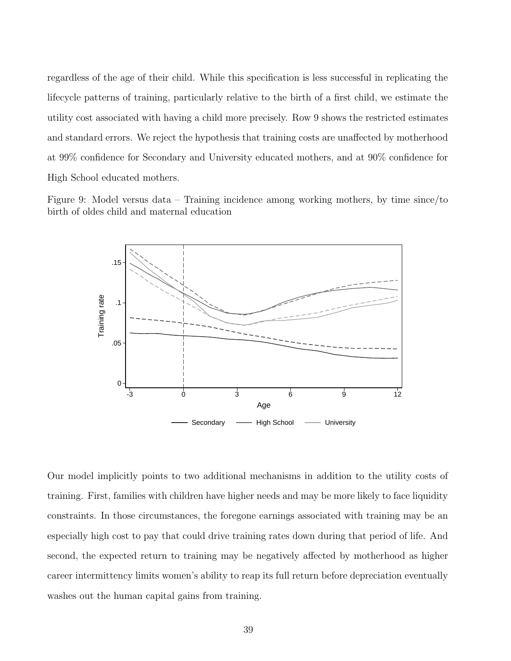<span id="page-38-0"></span>regardless of the age of their child. While this specification is less successful in replicating the lifecycle patterns of training, particularly relative to the birth of a first child, we estimate the utility cost associated with having a child more precisely. Row 9 shows the restricted estimates and standard errors. We reject the hypothesis that training costs are unaffected by motherhood at 99% confidence for Secondary and University educated mothers, and at 90% confidence for High School educated mothers.

Figure 9: Model versus data – Training incidence among working mothers, by time since/to birth of oldes child and maternal education



Our model implicitly points to two additional mechanisms in addition to the utility costs of training. First, families with children have higher needs and may be more likely to face liquidity constraints. In those circumstances, the foregone earnings associated with training may be an especially high cost to pay that could drive training rates down during that period of life. And second, the expected return to training may be negatively affected by motherhood as higher career intermittency limits women's ability to reap its full return before depreciation eventually washes out the human capital gains from training.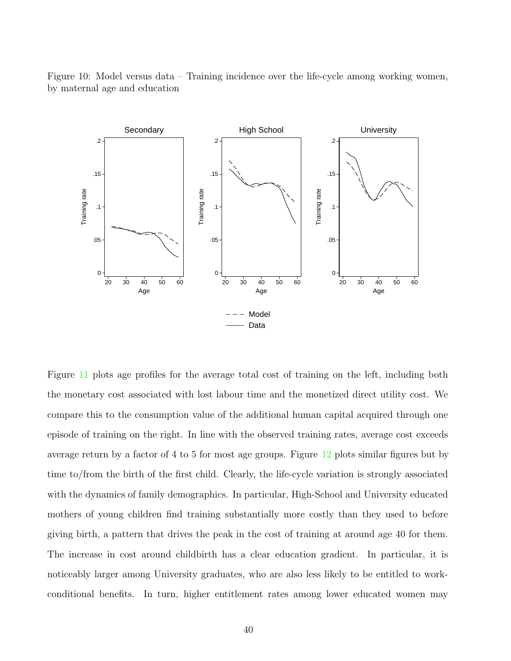<span id="page-39-0"></span>Figure 10: Model versus data – Training incidence over the life-cycle among working women, by maternal age and education



Figure [11](#page-40-0) plots age profiles for the average total cost of training on the left, including both the monetary cost associated with lost labour time and the monetized direct utility cost. We compare this to the consumption value of the additional human capital acquired through one episode of training on the right. In line with the observed training rates, average cost exceeds average return by a factor of 4 to 5 for most age groups. Figure [12](#page-40-0) plots similar figures but by time to/from the birth of the first child. Clearly, the life-cycle variation is strongly associated with the dynamics of family demographics. In particular, High-School and University educated mothers of young children find training substantially more costly than they used to before giving birth, a pattern that drives the peak in the cost of training at around age 40 for them. The increase in cost around childbirth has a clear education gradient. In particular, it is noticeably larger among University graduates, who are also less likely to be entitled to workconditional benefits. In turn, higher entitlement rates among lower educated women may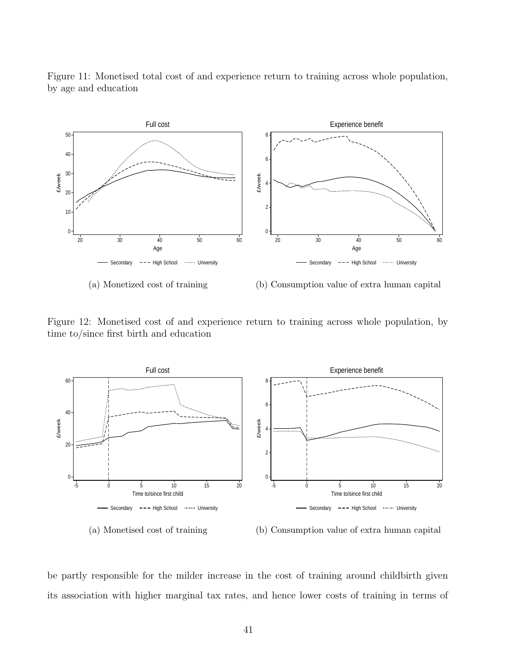<span id="page-40-0"></span>Figure 11: Monetised total cost of and experience return to training across whole population, by age and education



(b) Consumption value of extra human capital

Figure 12: Monetised cost of and experience return to training across whole population, by time to/since first birth and education



(a) Monetised cost of training

(b) Consumption value of extra human capital

be partly responsible for the milder increase in the cost of training around childbirth given its association with higher marginal tax rates, and hence lower costs of training in terms of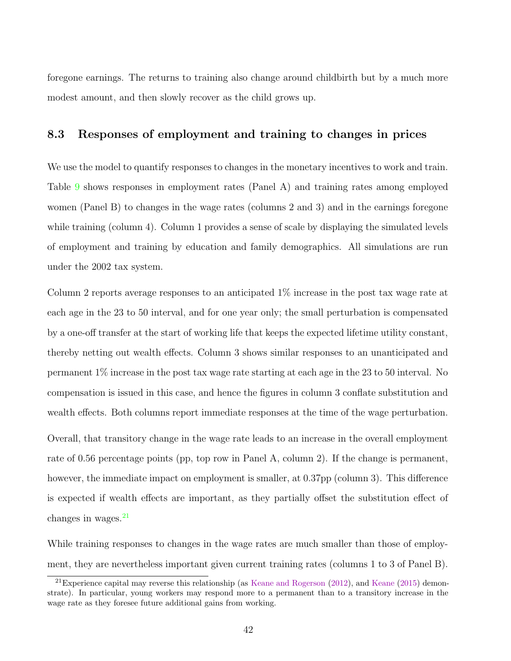foregone earnings. The returns to training also change around childbirth but by a much more modest amount, and then slowly recover as the child grows up.

#### 8.3 Responses of employment and training to changes in prices

We use the model to quantify responses to changes in the monetary incentives to work and train. Table [9](#page-42-0) shows responses in employment rates (Panel A) and training rates among employed women (Panel B) to changes in the wage rates (columns 2 and 3) and in the earnings foregone while training (column 4). Column 1 provides a sense of scale by displaying the simulated levels of employment and training by education and family demographics. All simulations are run under the 2002 tax system.

Column 2 reports average responses to an anticipated 1% increase in the post tax wage rate at each age in the 23 to 50 interval, and for one year only; the small perturbation is compensated by a one-off transfer at the start of working life that keeps the expected lifetime utility constant, thereby netting out wealth effects. Column 3 shows similar responses to an unanticipated and permanent 1% increase in the post tax wage rate starting at each age in the 23 to 50 interval. No compensation is issued in this case, and hence the figures in column 3 conflate substitution and wealth effects. Both columns report immediate responses at the time of the wage perturbation.

Overall, that transitory change in the wage rate leads to an increase in the overall employment rate of 0.56 percentage points (pp, top row in Panel A, column 2). If the change is permanent, however, the immediate impact on employment is smaller, at 0.37pp (column 3). This difference is expected if wealth effects are important, as they partially offset the substitution effect of changes in wages. $^{21}$ 

While training responses to changes in the wage rates are much smaller than those of employment, they are nevertheless important given current training rates (columns 1 to 3 of Panel B).

<sup>&</sup>lt;sup>21</sup>Experience capital may reverse this relationship (as [Keane and Rogerson](#page-52-0)  $(2012)$ , and [Keane](#page-52-0)  $(2015)$  $(2015)$  demonstrate). In particular, young workers may respond more to a permanent than to a transitory increase in the wage rate as they foresee future additional gains from working.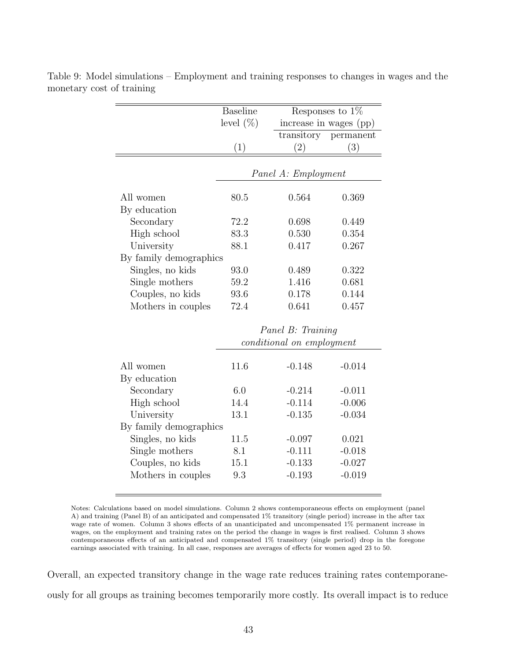| <b>Baseline</b><br>level $(\%)$ | increase in wages (pp) | Responses to $1\%$                       |
|---------------------------------|------------------------|------------------------------------------|
|                                 |                        |                                          |
|                                 |                        | transitory permanent                     |
| (1)                             | $\left( 2\right)$      | (3)                                      |
|                                 |                        |                                          |
|                                 |                        |                                          |
| 80.5                            | 0.564                  | 0.369                                    |
|                                 |                        |                                          |
| 72.2                            | 0.698                  | 0.449                                    |
| 83.3                            | 0.530                  | 0.354                                    |
| 88.1                            | 0.417                  | 0.267                                    |
|                                 |                        |                                          |
| 93.0                            | 0.489                  | 0.322                                    |
| 59.2                            | 1.416                  | 0.681                                    |
| 93.6                            | 0.178                  | 0.144                                    |
| 72.4                            | 0.641                  | 0.457                                    |
|                                 |                        |                                          |
|                                 | By family demographics | Panel A: Employment<br>Panel B: Trainina |

<span id="page-42-0"></span>Table 9: Model simulations – Employment and training responses to changes in wages and the monetary cost of training

|                        | $1$ where $D$ . It welleng<br>conditional on employment |          |          |  |  |
|------------------------|---------------------------------------------------------|----------|----------|--|--|
|                        |                                                         |          |          |  |  |
| All women              | 11.6                                                    | $-0.148$ | $-0.014$ |  |  |
| By education           |                                                         |          |          |  |  |
| Secondary              | 6.0                                                     | $-0.214$ | $-0.011$ |  |  |
| High school            | 14.4                                                    | $-0.114$ | $-0.006$ |  |  |
| University             | 13.1                                                    | $-0.135$ | $-0.034$ |  |  |
| By family demographics |                                                         |          |          |  |  |
| Singles, no kids       | 11.5                                                    | $-0.097$ | 0.021    |  |  |
| Single mothers         | 8.1                                                     | $-0.111$ | $-0.018$ |  |  |
| Couples, no kids       | 15.1                                                    | $-0.133$ | $-0.027$ |  |  |
| Mothers in couples     | 9.3                                                     | $-0.193$ | $-0.019$ |  |  |
|                        |                                                         |          |          |  |  |

Notes: Calculations based on model simulations. Column 2 shows contemporaneous effects on employment (panel A) and training (Panel B) of an anticipated and compensated 1% transitory (single period) increase in the after tax wage rate of women. Column 3 shows effects of an unanticipated and uncompensated 1% permanent increase in wages, on the employment and training rates on the period the change in wages is first realised. Column 3 shows contemporaneous effects of an anticipated and compensated 1% transitory (single period) drop in the foregone earnings associated with training. In all case, responses are averages of effects for women aged 23 to 50.

Overall, an expected transitory change in the wage rate reduces training rates contemporaneously for all groups as training becomes temporarily more costly. Its overall impact is to reduce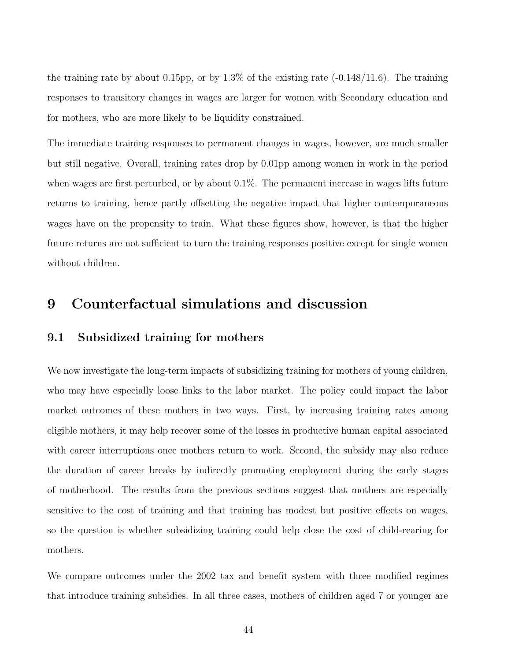the training rate by about 0.15pp, or by  $1.3\%$  of the existing rate  $(-0.148/11.6)$ . The training responses to transitory changes in wages are larger for women with Secondary education and for mothers, who are more likely to be liquidity constrained.

The immediate training responses to permanent changes in wages, however, are much smaller but still negative. Overall, training rates drop by 0.01pp among women in work in the period when wages are first perturbed, or by about 0.1%. The permanent increase in wages lifts future returns to training, hence partly offsetting the negative impact that higher contemporaneous wages have on the propensity to train. What these figures show, however, is that the higher future returns are not sufficient to turn the training responses positive except for single women without children.

### 9 Counterfactual simulations and discussion

#### 9.1 Subsidized training for mothers

We now investigate the long-term impacts of subsidizing training for mothers of young children, who may have especially loose links to the labor market. The policy could impact the labor market outcomes of these mothers in two ways. First, by increasing training rates among eligible mothers, it may help recover some of the losses in productive human capital associated with career interruptions once mothers return to work. Second, the subsidy may also reduce the duration of career breaks by indirectly promoting employment during the early stages of motherhood. The results from the previous sections suggest that mothers are especially sensitive to the cost of training and that training has modest but positive effects on wages, so the question is whether subsidizing training could help close the cost of child-rearing for mothers.

We compare outcomes under the 2002 tax and benefit system with three modified regimes that introduce training subsidies. In all three cases, mothers of children aged 7 or younger are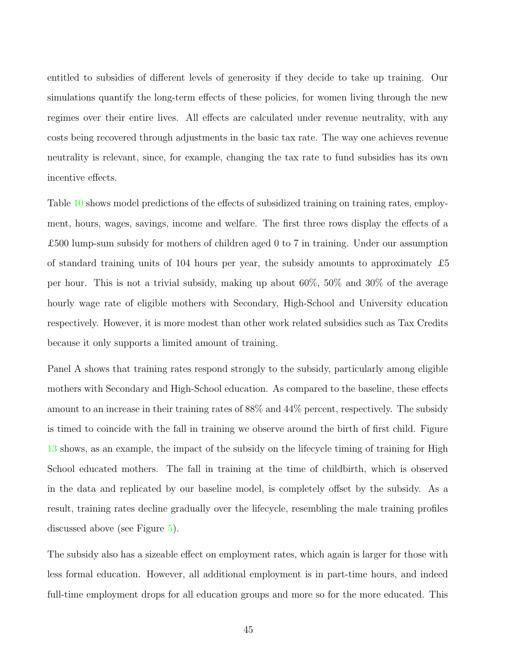entitled to subsidies of different levels of generosity if they decide to take up training. Our simulations quantify the long-term effects of these policies, for women living through the new regimes over their entire lives. All effects are calculated under revenue neutrality, with any costs being recovered through adjustments in the basic tax rate. The way one achieves revenue neutrality is relevant, since, for example, changing the tax rate to fund subsidies has its own incentive effects.

Table [10](#page-45-0) shows model predictions of the effects of subsidized training on training rates, employment, hours, wages, savings, income and welfare. The first three rows display the effects of a £500 lump-sum subsidy for mothers of children aged 0 to 7 in training. Under our assumption of standard training units of 104 hours per year, the subsidy amounts to approximately  $\pounds 5$ per hour. This is not a trivial subsidy, making up about 60%, 50% and 30% of the average hourly wage rate of eligible mothers with Secondary, High-School and University education respectively. However, it is more modest than other work related subsidies such as Tax Credits because it only supports a limited amount of training.

Panel A shows that training rates respond strongly to the subsidy, particularly among eligible mothers with Secondary and High-School education. As compared to the baseline, these effects amount to an increase in their training rates of 88% and 44% percent, respectively. The subsidy is timed to coincide with the fall in training we observe around the birth of first child. Figure [13](#page-46-0) shows, as an example, the impact of the subsidy on the lifecycle timing of training for High School educated mothers. The fall in training at the time of childbirth, which is observed in the data and replicated by our baseline model, is completely offset by the subsidy. As a result, training rates decline gradually over the lifecycle, resembling the male training profiles discussed above (see Figure [5](#page-13-0)).

The subsidy also has a sizeable effect on employment rates, which again is larger for those with less formal education. However, all additional employment is in part-time hours, and indeed full-time employment drops for all education groups and more so for the more educated. This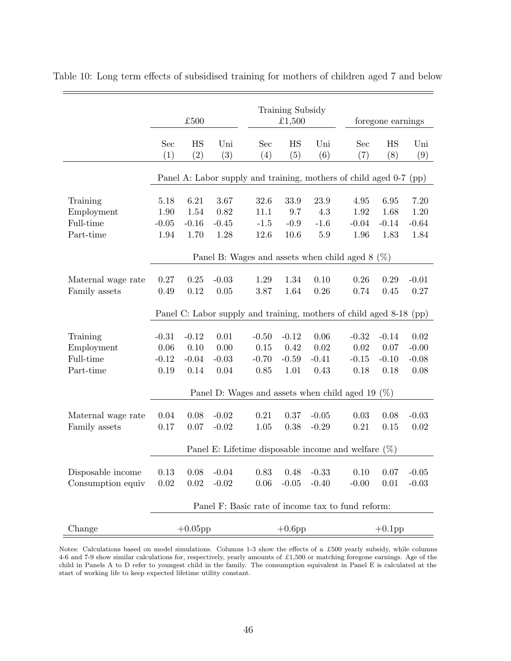|                        | £500                                                                   |           |            |            | Training Subsidy<br>£1,500 |                       |            | foregone earnings |            |  |
|------------------------|------------------------------------------------------------------------|-----------|------------|------------|----------------------------|-----------------------|------------|-------------------|------------|--|
|                        | Sec<br>(1)                                                             | HS<br>(2) | Uni<br>(3) | Sec<br>(4) | HS<br>(5)                  | Uni<br>(6)            | Sec<br>(7) | HS<br>(8)         | Uni<br>(9) |  |
|                        | Panel A: Labor supply and training, mothers of child aged 0-7 (pp)     |           |            |            |                            |                       |            |                   |            |  |
| Training               | 5.18                                                                   | 6.21      | 3.67       | 32.6       | 33.9                       | 23.9                  | 4.95       | 6.95              | 7.20       |  |
| Employment             | 1.90                                                                   | 1.54      | 0.82       | 11.1       | 9.7                        | 4.3                   | 1.92       | 1.68              | 1.20       |  |
| Full-time              | $-0.05$                                                                | $-0.16$   | $-0.45$    | $-1.5$     | $-0.9$                     | $-1.6$                | $-0.04$    | $-0.14$           | $-0.64$    |  |
| Part-time              | 1.94                                                                   | 1.70      | 1.28       | 12.6       | $10.6\,$                   | $5.9\,$               | 1.96       | 1.83              | 1.84       |  |
|                        | Panel B: Wages and assets when child aged 8<br>$(\%)$                  |           |            |            |                            |                       |            |                   |            |  |
| Maternal wage rate     | 0.27                                                                   | 0.25      | $-0.03$    | 1.29       | 1.34                       | 0.10                  | 0.26       | 0.29              | $-0.01$    |  |
| Family assets          | 0.49                                                                   | 0.12      | 0.05       | 3.87       | 1.64                       | $0.26\,$              | 0.74       | 0.45              | 0.27       |  |
|                        | Panel C: Labor supply and training, mothers of child aged 8-18<br>(pp) |           |            |            |                            |                       |            |                   |            |  |
|                        | $-0.31$                                                                | $-0.12$   | 0.01       | $-0.50$    | $-0.12$                    | 0.06                  | $-0.32$    | $-0.14$           | 0.02       |  |
| Training<br>Employment | 0.06                                                                   | 0.10      | 0.00       | 0.15       | 0.42                       | 0.02                  | 0.02       | 0.07              | $-0.00$    |  |
| Full-time              | $-0.12$                                                                | $-0.04$   | $-0.03$    | $-0.70$    | $-0.59$                    | $-0.41$               | $-0.15$    | $-0.10$           | $-0.08$    |  |
| Part-time              | 0.19                                                                   | 0.14      | 0.04       | $0.85\,$   | 1.01                       | 0.43                  | 0.18       | 0.18              | 0.08       |  |
|                        | Panel D: Wages and assets when child aged 19<br>$(\% )$                |           |            |            |                            |                       |            |                   |            |  |
|                        |                                                                        |           |            |            |                            |                       |            |                   |            |  |
| Maternal wage rate     | 0.04                                                                   | $0.08\,$  | $-0.02$    | 0.21       | 0.37                       | $-0.05$               | 0.03       | 0.08              | $-0.03$    |  |
| Family assets          | $0.17\,$                                                               | 0.07      | $-0.02$    | 1.05       | 0.38                       | $-0.29$               | $0.21\,$   | 0.15              | 0.02       |  |
|                        | Panel E: Lifetime disposable income and welfare $(\%)$                 |           |            |            |                            |                       |            |                   |            |  |
| Disposable income      | 0.13                                                                   | 0.08      | $-0.04$    |            |                            | $0.83$ $0.48$ $-0.33$ |            | $0.10 \ 0.07$     | $-0.05$    |  |
| Consumption equiv      | 0.02                                                                   | $0.02\,$  | $-0.02$    | 0.06       | $-0.05$                    | $-0.40$               | $-0.00$    | 0.01              | $-0.03$    |  |
|                        | Panel F: Basic rate of income tax to fund reform:                      |           |            |            |                            |                       |            |                   |            |  |
| Change                 | $+0.05$ pp                                                             |           |            |            | $+0.6$ pp                  |                       |            | $+0.1$ pp         |            |  |

<span id="page-45-0"></span>Table 10: Long term effects of subsidised training for mothers of children aged 7 and below

 $=$ 

Notes: Calculations based on model simulations. Columns 1-3 show the effects of a £500 yearly subsidy, while columns 4-6 and 7-9 show similar calculations for, respectively, yearly amounts of £1,500 or matching foregone earnings. Age of the child in Panels A to D refer to youngest child in the family. The consumption equivalent in Panel E is calculated at the start of working life to keep expected lifetime utility constant.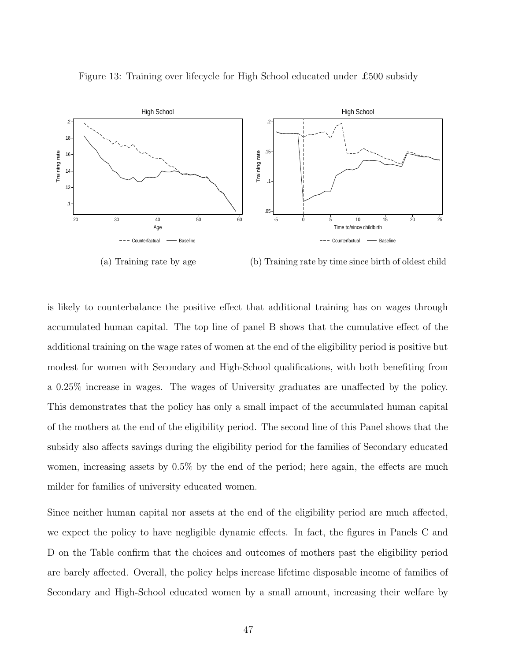

<span id="page-46-0"></span>Figure 13: Training over lifecycle for High School educated under £500 subsidy

(a) Training rate by age (b) Training rate by time since birth of oldest child

is likely to counterbalance the positive effect that additional training has on wages through accumulated human capital. The top line of panel B shows that the cumulative effect of the additional training on the wage rates of women at the end of the eligibility period is positive but modest for women with Secondary and High-School qualifications, with both benefiting from a 0.25% increase in wages. The wages of University graduates are unaffected by the policy. This demonstrates that the policy has only a small impact of the accumulated human capital of the mothers at the end of the eligibility period. The second line of this Panel shows that the subsidy also affects savings during the eligibility period for the families of Secondary educated women, increasing assets by 0.5% by the end of the period; here again, the effects are much milder for families of university educated women.

Since neither human capital nor assets at the end of the eligibility period are much affected, we expect the policy to have negligible dynamic effects. In fact, the figures in Panels C and D on the Table confirm that the choices and outcomes of mothers past the eligibility period are barely affected. Overall, the policy helps increase lifetime disposable income of families of Secondary and High-School educated women by a small amount, increasing their welfare by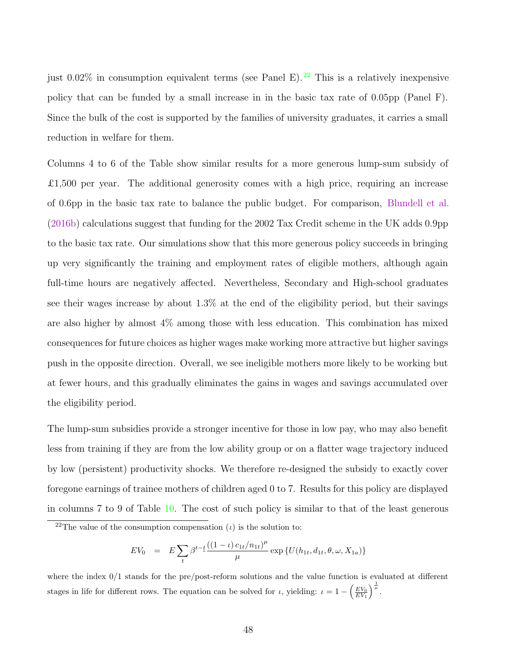just 0.02% in consumption equivalent terms (see Panel E).<sup>22</sup> This is a relatively inexpensive policy that can be funded by a small increase in in the basic tax rate of 0.05pp (Panel F). Since the bulk of the cost is supported by the families of university graduates, it carries a small reduction in welfare for them.

Columns 4 to 6 of the Table show similar results for a more generous lump-sum subsidy of £1,500 per year. The additional generosity comes with a high price, requiring an increase of 0.6pp in the basic tax rate to balance the public budget. For comparison, [Blundell et al.](#page-51-0) [\(2016b](#page-51-0)) calculations suggest that funding for the 2002 Tax Credit scheme in the UK adds 0.9pp to the basic tax rate. Our simulations show that this more generous policy succeeds in bringing up very significantly the training and employment rates of eligible mothers, although again full-time hours are negatively affected. Nevertheless, Secondary and High-school graduates see their wages increase by about 1.3% at the end of the eligibility period, but their savings are also higher by almost 4% among those with less education. This combination has mixed consequences for future choices as higher wages make working more attractive but higher savings push in the opposite direction. Overall, we see ineligible mothers more likely to be working but at fewer hours, and this gradually eliminates the gains in wages and savings accumulated over the eligibility period.

The lump-sum subsidies provide a stronger incentive for those in low pay, who may also benefit less from training if they are from the low ability group or on a flatter wage trajectory induced by low (persistent) productivity shocks. We therefore re-designed the subsidy to exactly cover foregone earnings of trainee mothers of children aged 0 to 7. Results for this policy are displayed in columns 7 to 9 of Table [10.](#page-45-0) The cost of such policy is similar to that of the least generous

$$
EV_0 = E \sum_{t} \beta^{t-\underline{t}} \frac{((1-\iota)c_{1t}/n_{1t})^{\mu}}{\mu} \exp \{U(h_{1t}, d_{1t}, \theta, \omega, X_{1a})\}
$$

where the index 0/1 stands for the pre/post-reform solutions and the value function is evaluated at different stages in life for different rows. The equation can be solved for  $\iota$ , yielding:  $\iota = 1 - \left(\frac{EV_0}{EV_1}\right)$  $\Big)^{\frac{1}{\mu}}$ .

<sup>&</sup>lt;sup>22</sup>The value of the consumption compensation (*ι*) is the solution to: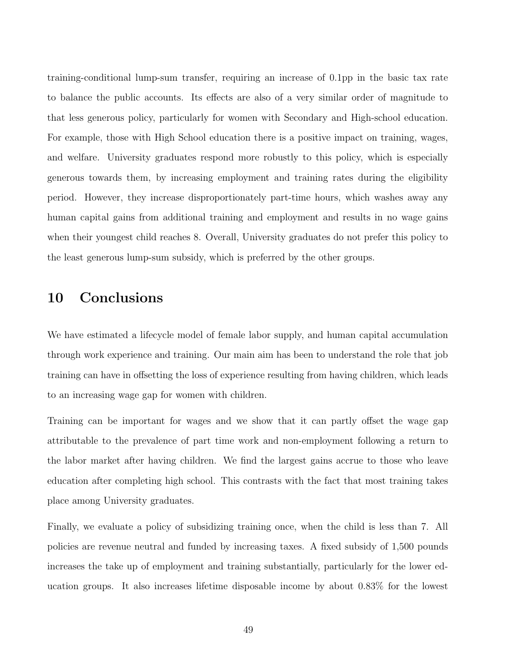training-conditional lump-sum transfer, requiring an increase of 0.1pp in the basic tax rate to balance the public accounts. Its effects are also of a very similar order of magnitude to that less generous policy, particularly for women with Secondary and High-school education. For example, those with High School education there is a positive impact on training, wages, and welfare. University graduates respond more robustly to this policy, which is especially generous towards them, by increasing employment and training rates during the eligibility period. However, they increase disproportionately part-time hours, which washes away any human capital gains from additional training and employment and results in no wage gains when their youngest child reaches 8. Overall, University graduates do not prefer this policy to the least generous lump-sum subsidy, which is preferred by the other groups.

### 10 Conclusions

We have estimated a lifecycle model of female labor supply, and human capital accumulation through work experience and training. Our main aim has been to understand the role that job training can have in offsetting the loss of experience resulting from having children, which leads to an increasing wage gap for women with children.

Training can be important for wages and we show that it can partly offset the wage gap attributable to the prevalence of part time work and non-employment following a return to the labor market after having children. We find the largest gains accrue to those who leave education after completing high school. This contrasts with the fact that most training takes place among University graduates.

Finally, we evaluate a policy of subsidizing training once, when the child is less than 7. All policies are revenue neutral and funded by increasing taxes. A fixed subsidy of 1,500 pounds increases the take up of employment and training substantially, particularly for the lower education groups. It also increases lifetime disposable income by about 0.83% for the lowest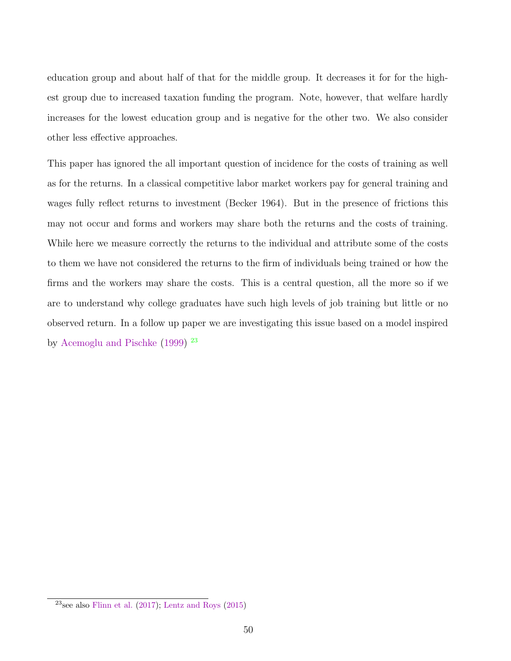education group and about half of that for the middle group. It decreases it for for the highest group due to increased taxation funding the program. Note, however, that welfare hardly increases for the lowest education group and is negative for the other two. We also consider other less effective approaches.

This paper has ignored the all important question of incidence for the costs of training as well as for the returns. In a classical competitive labor market workers pay for general training and wages fully reflect returns to investment (Becker 1964). But in the presence of frictions this may not occur and forms and workers may share both the returns and the costs of training. While here we measure correctly the returns to the individual and attribute some of the costs to them we have not considered the returns to the firm of individuals being trained or how the firms and the workers may share the costs. This is a central question, all the more so if we are to understand why college graduates have such high levels of job training but little or no observed return. In a follow up paper we are investigating this issue based on a model inspired by [Acemoglu and Pischke](#page-50-0) ([1999](#page-50-0)) <sup>23</sup>

<sup>&</sup>lt;sup>23</sup>see also [Flinn et al.](#page-52-0)  $(2017)$  $(2017)$ ; [Lentz and Roys](#page-52-0)  $(2015)$  $(2015)$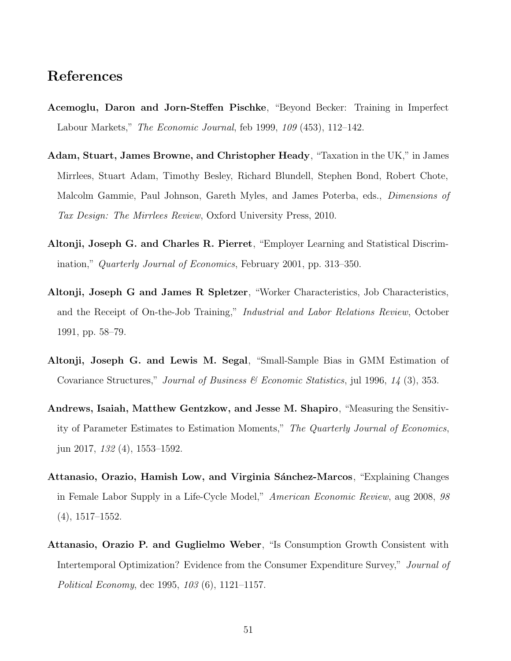### <span id="page-50-0"></span>References

- Acemoglu, Daron and Jorn-Steffen Pischke, "Beyond Becker: Training in Imperfect Labour Markets," The Economic Journal, feb 1999, 109 (453), 112–142.
- Adam, Stuart, James Browne, and Christopher Heady, "Taxation in the UK," in James Mirrlees, Stuart Adam, Timothy Besley, Richard Blundell, Stephen Bond, Robert Chote, Malcolm Gammie, Paul Johnson, Gareth Myles, and James Poterba, eds., Dimensions of Tax Design: The Mirrlees Review, Oxford University Press, 2010.
- Altonji, Joseph G. and Charles R. Pierret, "Employer Learning and Statistical Discrimination," Quarterly Journal of Economics, February 2001, pp. 313–350.
- Altonji, Joseph G and James R Spletzer, "Worker Characteristics, Job Characteristics, and the Receipt of On-the-Job Training," Industrial and Labor Relations Review, October 1991, pp. 58–79.
- Altonji, Joseph G. and Lewis M. Segal, "Small-Sample Bias in GMM Estimation of Covariance Structures," Journal of Business & Economic Statistics, jul 1996,  $14$  (3), 353.
- Andrews, Isaiah, Matthew Gentzkow, and Jesse M. Shapiro, "Measuring the Sensitivity of Parameter Estimates to Estimation Moments," The Quarterly Journal of Economics, jun 2017, 132 (4), 1553–1592.
- Attanasio, Orazio, Hamish Low, and Virginia Sánchez-Marcos, "Explaining Changes in Female Labor Supply in a Life-Cycle Model," American Economic Review, aug 2008, 98 (4), 1517–1552.
- Attanasio, Orazio P. and Guglielmo Weber, "Is Consumption Growth Consistent with Intertemporal Optimization? Evidence from the Consumer Expenditure Survey," Journal of Political Economy, dec 1995, 103 (6), 1121–1157.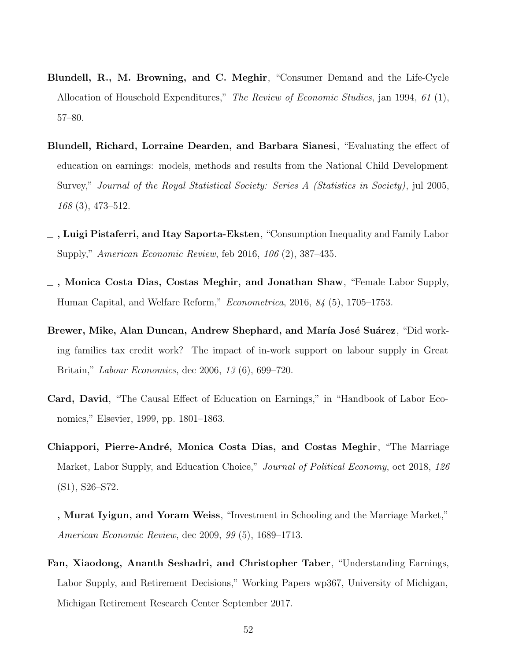- <span id="page-51-0"></span>Blundell, R., M. Browning, and C. Meghir, "Consumer Demand and the Life-Cycle Allocation of Household Expenditures," The Review of Economic Studies, jan 1994, 61 (1), 57–80.
- Blundell, Richard, Lorraine Dearden, and Barbara Sianesi, "Evaluating the effect of education on earnings: models, methods and results from the National Child Development Survey," Journal of the Royal Statistical Society: Series A (Statistics in Society), jul 2005, 168 (3), 473–512.
- , Luigi Pistaferri, and Itay Saporta-Eksten, "Consumption Inequality and Family Labor Supply," American Economic Review, feb 2016, 106 (2), 387–435.
- , Monica Costa Dias, Costas Meghir, and Jonathan Shaw, "Female Labor Supply, Human Capital, and Welfare Reform," Econometrica, 2016, 84 (5), 1705–1753.
- Brewer, Mike, Alan Duncan, Andrew Shephard, and María José Suárez, "Did working families tax credit work? The impact of in-work support on labour supply in Great Britain," Labour Economics, dec 2006, 13 (6), 699–720.
- Card, David, "The Causal Effect of Education on Earnings," in "Handbook of Labor Economics," Elsevier, 1999, pp. 1801–1863.
- Chiappori, Pierre-André, Monica Costa Dias, and Costas Meghir, "The Marriage Market, Labor Supply, and Education Choice," *Journal of Political Economy*, oct 2018, 126 (S1), S26–S72.
- $\Box$ , Murat Iyigun, and Yoram Weiss, "Investment in Schooling and the Marriage Market," American Economic Review, dec 2009, 99 (5), 1689–1713.
- Fan, Xiaodong, Ananth Seshadri, and Christopher Taber, "Understanding Earnings, Labor Supply, and Retirement Decisions," Working Papers wp367, University of Michigan, Michigan Retirement Research Center September 2017.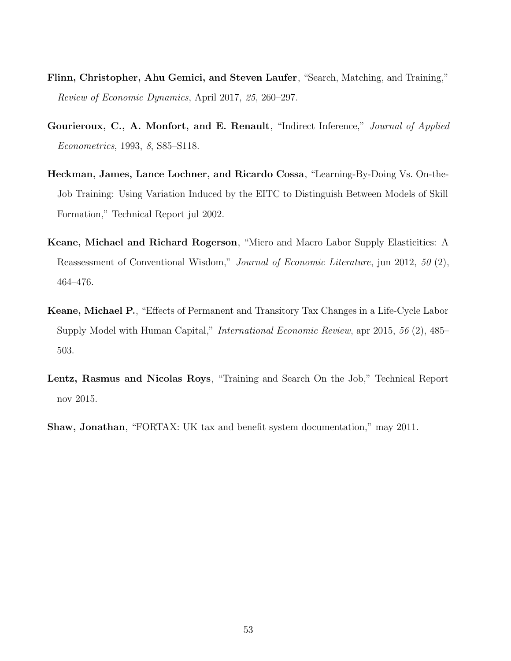- <span id="page-52-0"></span>Flinn, Christopher, Ahu Gemici, and Steven Laufer, "Search, Matching, and Training," Review of Economic Dynamics, April 2017, 25, 260–297.
- Gourieroux, C., A. Monfort, and E. Renault, "Indirect Inference," Journal of Applied Econometrics, 1993, 8, S85–S118.
- Heckman, James, Lance Lochner, and Ricardo Cossa, "Learning-By-Doing Vs. On-the-Job Training: Using Variation Induced by the EITC to Distinguish Between Models of Skill Formation," Technical Report jul 2002.
- Keane, Michael and Richard Rogerson, "Micro and Macro Labor Supply Elasticities: A Reassessment of Conventional Wisdom," Journal of Economic Literature, jun 2012, 50 (2), 464–476.
- Keane, Michael P., "Effects of Permanent and Transitory Tax Changes in a Life-Cycle Labor Supply Model with Human Capital," International Economic Review, apr 2015, 56 (2), 485– 503.
- Lentz, Rasmus and Nicolas Roys, "Training and Search On the Job," Technical Report nov 2015.
- Shaw, Jonathan, "FORTAX: UK tax and benefit system documentation," may 2011.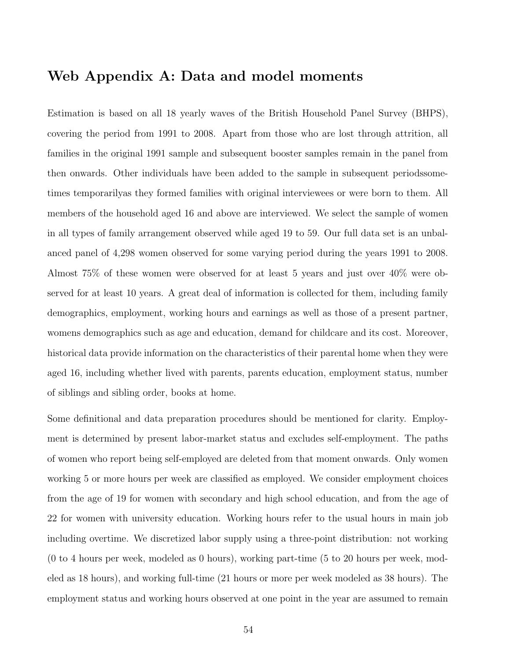### Web Appendix A: Data and model moments

Estimation is based on all 18 yearly waves of the British Household Panel Survey (BHPS), covering the period from 1991 to 2008. Apart from those who are lost through attrition, all families in the original 1991 sample and subsequent booster samples remain in the panel from then onwards. Other individuals have been added to the sample in subsequent periodssometimes temporarilyas they formed families with original interviewees or were born to them. All members of the household aged 16 and above are interviewed. We select the sample of women in all types of family arrangement observed while aged 19 to 59. Our full data set is an unbalanced panel of 4,298 women observed for some varying period during the years 1991 to 2008. Almost 75% of these women were observed for at least 5 years and just over 40% were observed for at least 10 years. A great deal of information is collected for them, including family demographics, employment, working hours and earnings as well as those of a present partner, womens demographics such as age and education, demand for childcare and its cost. Moreover, historical data provide information on the characteristics of their parental home when they were aged 16, including whether lived with parents, parents education, employment status, number of siblings and sibling order, books at home.

Some definitional and data preparation procedures should be mentioned for clarity. Employment is determined by present labor-market status and excludes self-employment. The paths of women who report being self-employed are deleted from that moment onwards. Only women working 5 or more hours per week are classified as employed. We consider employment choices from the age of 19 for women with secondary and high school education, and from the age of 22 for women with university education. Working hours refer to the usual hours in main job including overtime. We discretized labor supply using a three-point distribution: not working (0 to 4 hours per week, modeled as 0 hours), working part-time (5 to 20 hours per week, modeled as 18 hours), and working full-time (21 hours or more per week modeled as 38 hours). The employment status and working hours observed at one point in the year are assumed to remain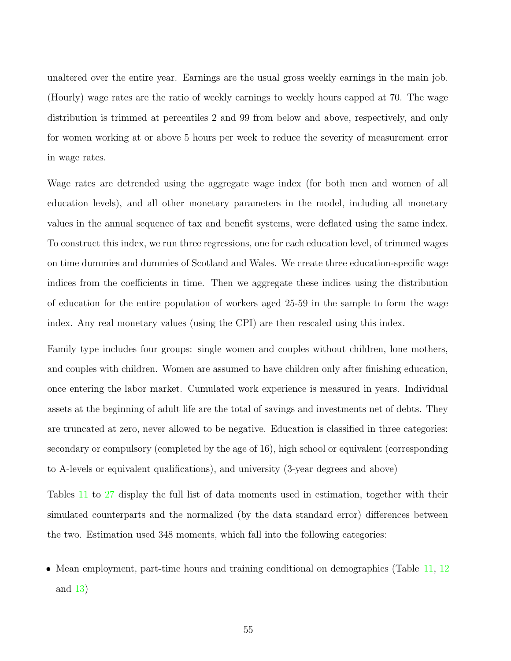unaltered over the entire year. Earnings are the usual gross weekly earnings in the main job. (Hourly) wage rates are the ratio of weekly earnings to weekly hours capped at 70. The wage distribution is trimmed at percentiles 2 and 99 from below and above, respectively, and only for women working at or above 5 hours per week to reduce the severity of measurement error in wage rates.

Wage rates are detrended using the aggregate wage index (for both men and women of all education levels), and all other monetary parameters in the model, including all monetary values in the annual sequence of tax and benefit systems, were deflated using the same index. To construct this index, we run three regressions, one for each education level, of trimmed wages on time dummies and dummies of Scotland and Wales. We create three education-specific wage indices from the coefficients in time. Then we aggregate these indices using the distribution of education for the entire population of workers aged 25-59 in the sample to form the wage index. Any real monetary values (using the CPI) are then rescaled using this index.

Family type includes four groups: single women and couples without children, lone mothers, and couples with children. Women are assumed to have children only after finishing education, once entering the labor market. Cumulated work experience is measured in years. Individual assets at the beginning of adult life are the total of savings and investments net of debts. They are truncated at zero, never allowed to be negative. Education is classified in three categories: secondary or compulsory (completed by the age of 16), high school or equivalent (corresponding to A-levels or equivalent qualifications), and university (3-year degrees and above)

Tables [11](#page--1-0) to [27](#page--1-0) display the full list of data moments used in estimation, together with their simulated counterparts and the normalized (by the data standard error) differences between the two. Estimation used 348 moments, which fall into the following categories:

• Mean employment, part-time hours and training conditional on demographics (Table [11,](#page--1-0) [12](#page--1-0)) and [13](#page--1-0))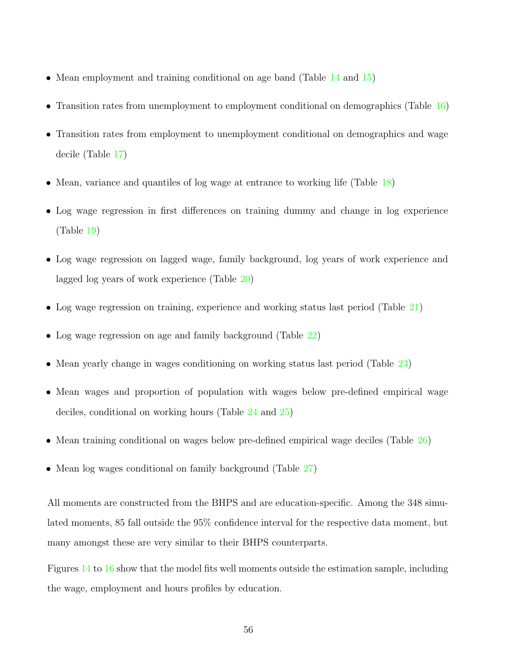- Mean employment and training conditional on age band (Table [14](#page--1-0) and [15\)](#page--1-0)
- Transition rates from unemployment to employment conditional on demographics (Table [16](#page--1-0))
- Transition rates from employment to unemployment conditional on demographics and wage decile (Table [17\)](#page--1-0)
- Mean, variance and quantiles of log wage at entrance to working life (Table [18](#page--1-0))
- Log wage regression in first differences on training dummy and change in log experience (Table [19](#page--1-0))
- Log wage regression on lagged wage, family background, log years of work experience and lagged log years of work experience (Table [20\)](#page--1-0)
- Log wage regression on training, experience and working status last period (Table [21](#page--1-0))
- Log wage regression on age and family background (Table [22](#page--1-0))
- Mean yearly change in wages conditioning on working status last period (Table [23\)](#page--1-0)
- Mean wages and proportion of population with wages below pre-defined empirical wage deciles, conditional on working hours (Table [24](#page--1-0) and [25](#page--1-0))
- Mean training conditional on wages below pre-defined empirical wage deciles (Table [26](#page--1-0))
- Mean log wages conditional on family background (Table [27\)](#page--1-0)

All moments are constructed from the BHPS and are education-specific. Among the 348 simulated moments, 85 fall outside the 95% confidence interval for the respective data moment, but many amongst these are very similar to their BHPS counterparts.

Figures [14](#page-56-0) to [16](#page-57-0) show that the model fits well moments outside the estimation sample, including the wage, employment and hours profiles by education.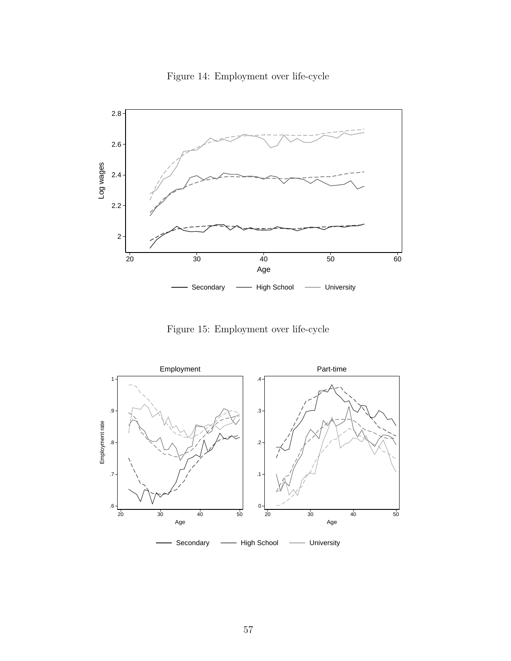

<span id="page-56-0"></span>

Figure 15: Employment over life-cycle